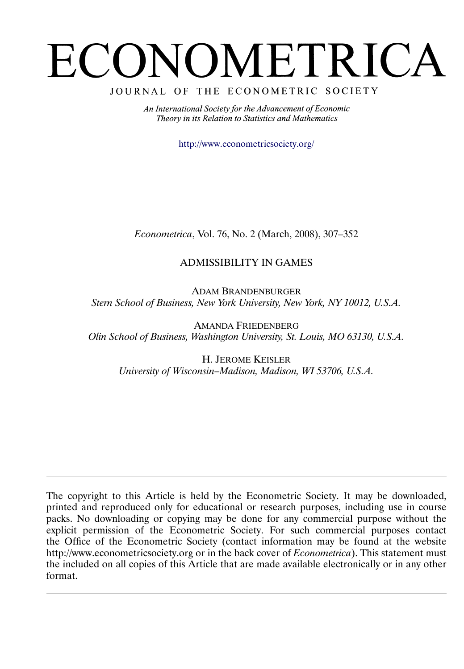# <span id="page-0-0"></span>ECONOMETRICA

# JOURNAL OF THE ECONOMETRIC SOCIETY

An International Society for the Advancement of Economic Theory in its Relation to Statistics and Mathematics

<http://www.econometricsociety.org/>

*Econometrica*, Vol. 76, No. 2 (March, 2008), 307–352

# ADMISSIBILITY IN GAMES

ADAM BRANDENBURGER *Stern School of Business, New York University, New York, NY 10012, U.S.A.*

AMANDA FRIEDENBERG *Olin School of Business, Washington University, St. Louis, MO 63130, U.S.A.*

H. JEROME KEISLER *University of Wisconsin–Madison, Madison, WI 53706, U.S.A.*

The copyright to this Article is held by the Econometric Society. It may be downloaded, printed and reproduced only for educational or research purposes, including use in course packs. No downloading or copying may be done for any commercial purpose without the explicit permission of the Econometric Society. For such commercial purposes contact the Office of the Econometric Society (contact information may be found at the website http://www.econometricsociety.org or in the back cover of *Econometrica*). This statement must the included on all copies of this Article that are made available electronically or in any other format.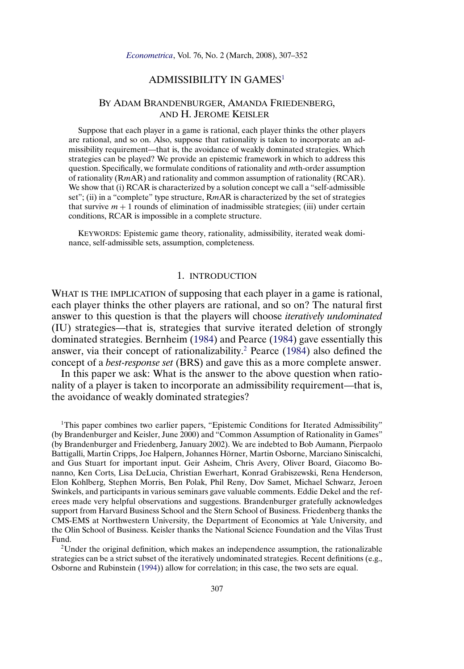## ADMISSIBILITY IN GAMES<sup>1</sup>

## <span id="page-1-0"></span>BY ADAM BRANDENBURGER, AMANDA FRIEDENBERG, AND H. JEROME KEISLER

Suppose that each player in a game is rational, each player thinks the other players are rational, and so on. Also, suppose that rationality is taken to incorporate an admissibility requirement—that is, the avoidance of weakly dominated strategies. Which strategies can be played? We provide an epistemic framework in which to address this question. Specifically, we formulate conditions of rationality and mth-order assumption of rationality (RmAR) and rationality and common assumption of rationality (RCAR). We show that (i) RCAR is characterized by a solution concept we call a "self-admissible set"; (ii) in a "complete" type structure, RmAR is characterized by the set of strategies that survive  $m + 1$  rounds of elimination of inadmissible strategies; (iii) under certain conditions, RCAR is impossible in a complete structure.

KEYWORDS: Epistemic game theory, rationality, admissibility, iterated weak dominance, self-admissible sets, assumption, completeness.

## 1. INTRODUCTION

WHAT IS THE IMPLICATION of supposing that each player in a game is rational, each player thinks the other players are rational, and so on? The natural first answer to this question is that the players will choose *iteratively undominated* (IU) strategies—that is, strategies that survive iterated deletion of strongly dominated strategies. Bernheim [\(1984\)](#page-45-0) and Pearce [\(1984\)](#page-46-0) gave essentially this answer, via their concept of rationalizability.<sup>2</sup> Pearce [\(1984\)](#page-46-0) also defined the concept of a *best-response set* (BRS) and gave this as a more complete answer.

In this paper we ask: What is the answer to the above question when rationality of a player is taken to incorporate an admissibility requirement—that is, the avoidance of weakly dominated strategies?

2Under the original definition, which makes an independence assumption, the rationalizable strategies can be a strict subset of the iteratively undominated strategies. Recent definitions (e.g., Osborne and Rubinstein [\(1994\)](#page-46-0)) allow for correlation; in this case, the two sets are equal.

<sup>&</sup>lt;sup>1</sup>This paper combines two earlier papers, "Epistemic Conditions for Iterated Admissibility" (by Brandenburger and Keisler, June 2000) and "Common Assumption of Rationality in Games" (by Brandenburger and Friedenberg, January 2002). We are indebted to Bob Aumann, Pierpaolo Battigalli, Martin Cripps, Joe Halpern, Johannes Hörner, Martin Osborne, Marciano Siniscalchi, and Gus Stuart for important input. Geir Asheim, Chris Avery, Oliver Board, Giacomo Bonanno, Ken Corts, Lisa DeLucia, Christian Ewerhart, Konrad Grabiszewski, Rena Henderson, Elon Kohlberg, Stephen Morris, Ben Polak, Phil Reny, Dov Samet, Michael Schwarz, Jeroen Swinkels, and participants in various seminars gave valuable comments. Eddie Dekel and the referees made very helpful observations and suggestions. Brandenburger gratefully acknowledges support from Harvard Business School and the Stern School of Business. Friedenberg thanks the CMS-EMS at Northwestern University, the Department of Economics at Yale University, and the Olin School of Business. Keisler thanks the National Science Foundation and the Vilas Trust Fund.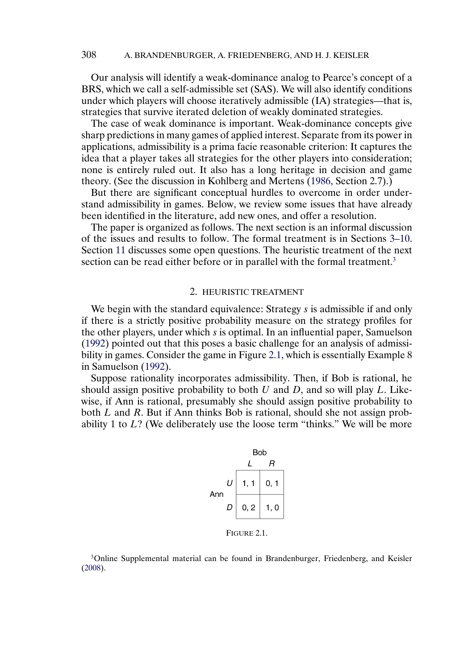## <span id="page-2-0"></span>308 A. BRANDENBURGER, A. FRIEDENBERG, AND H. J. KEISLER

Our analysis will identify a weak-dominance analog to Pearce's concept of a BRS, which we call a self-admissible set (SAS). We will also identify conditions under which players will choose iteratively admissible (IA) strategies—that is, strategies that survive iterated deletion of weakly dominated strategies.

The case of weak dominance is important. Weak-dominance concepts give sharp predictions in many games of applied interest. Separate from its power in applications, admissibility is a prima facie reasonable criterion: It captures the idea that a player takes all strategies for the other players into consideration; none is entirely ruled out. It also has a long heritage in decision and game theory. (See the discussion in Kohlberg and Mertens [\(1986,](#page-46-0) Section 2.7).)

But there are significant conceptual hurdles to overcome in order understand admissibility in games. Below, we review some issues that have already been identified in the literature, add new ones, and offer a resolution.

The paper is organized as follows. The next section is an informal discussion of the issues and results to follow. The formal treatment is in Sections [3–](#page-13-0)[10.](#page-25-0) Section [11](#page-26-0) discusses some open questions. The heuristic treatment of the next section can be read either before or in parallel with the formal treatment.<sup>3</sup>

#### 2. HEURISTIC TREATMENT

We begin with the standard equivalence: Strategy s is admissible if and only if there is a strictly positive probability measure on the strategy profiles for the other players, under which s is optimal. In an influential paper, Samuelson [\(1992\)](#page-46-0) pointed out that this poses a basic challenge for an analysis of admissibility in games. Consider the game in Figure 2.1, which is essentially Example 8 in Samuelson [\(1992\)](#page-46-0).

Suppose rationality incorporates admissibility. Then, if Bob is rational, he should assign positive probability to both  $U$  and  $D$ , and so will play  $L$ . Likewise, if Ann is rational, presumably she should assign positive probability to both  $L$  and  $R$ . But if Ann thinks Bob is rational, should she not assign probability 1 to  $L$ ? (We deliberately use the loose term "thinks." We will be more



FIGURE 2.1.

3Online Supplemental material can be found in Brandenburger, Friedenberg, and Keisler [\(2008\)](#page-45-0).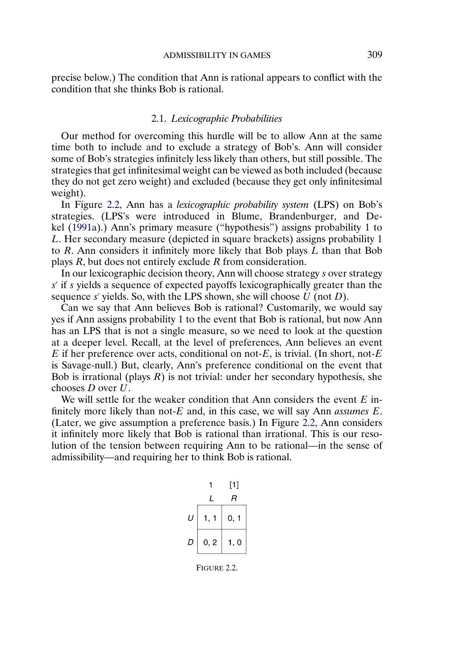<span id="page-3-0"></span>precise below.) The condition that Ann is rational appears to conflict with the condition that she thinks Bob is rational.

## 2.1. *Lexicographic Probabilities*

Our method for overcoming this hurdle will be to allow Ann at the same time both to include and to exclude a strategy of Bob's. Ann will consider some of Bob's strategies infinitely less likely than others, but still possible. The strategies that get infinitesimal weight can be viewed as both included (because they do not get zero weight) and excluded (because they get only infinitesimal weight).

In Figure 2.2, Ann has a *lexicographic probability system* (LPS) on Bob's strategies. (LPS's were introduced in Blume, Brandenburger, and Dekel [\(1991a\)](#page-45-0).) Ann's primary measure ("hypothesis") assigns probability 1 to L. Her secondary measure (depicted in square brackets) assigns probability 1 to  $R$ . Ann considers it infinitely more likely that Bob plays  $L$  than that Bob plays  $R$ , but does not entirely exclude  $R$  from consideration.

In our lexicographic decision theory, Ann will choose strategy s over strategy s' if s yields a sequence of expected payoffs lexicographically greater than the sequence s' yields. So, with the LPS shown, she will choose  $U$  (not  $D$ ).

Can we say that Ann believes Bob is rational? Customarily, we would say yes if Ann assigns probability 1 to the event that Bob is rational, but now Ann has an LPS that is not a single measure, so we need to look at the question at a deeper level. Recall, at the level of preferences, Ann believes an event E if her preference over acts, conditional on not-E, is trivial. (In short, not-E is Savage-null.) But, clearly, Ann's preference conditional on the event that Bob is irrational (plays  $R$ ) is not trivial: under her secondary hypothesis, she chooses D over U.

We will settle for the weaker condition that Ann considers the event  $E$  infinitely more likely than not-E and, in this case, we will say Ann *assumes* E. (Later, we give assumption a preference basis.) In Figure 2.2, Ann considers it infinitely more likely that Bob is rational than irrational. This is our resolution of the tension between requiring Ann to be rational—in the sense of admissibility—and requiring her to think Bob is rational.

$$
\begin{array}{c|cc}\n & 1 & [1] \\
 & L & R \\
\hline\n0 & 1, 1 & 0, 1 \\
\hline\nD & 0, 2 & 1, 0\n\end{array}
$$

FIGURE 2.2.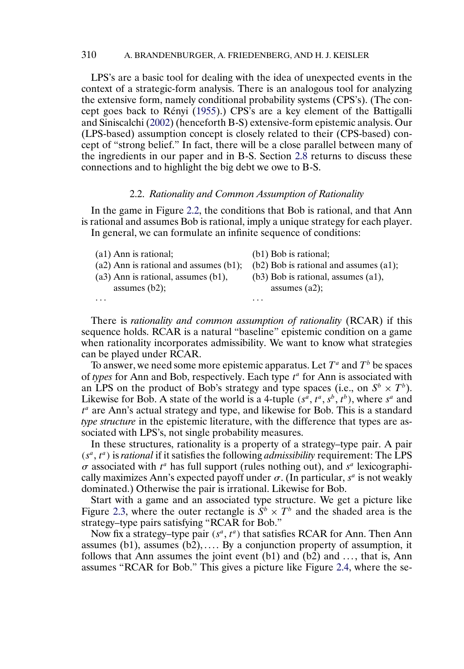## <span id="page-4-0"></span>310 A. BRANDENBURGER, A. FRIEDENBERG, AND H. J. KEISLER

LPS's are a basic tool for dealing with the idea of unexpected events in the context of a strategic-form analysis. There is an analogous tool for analyzing the extensive form, namely conditional probability systems (CPS's). (The concept goes back to Rényi [\(1955\)](#page-46-0).) CPS's are a key element of the Battigalli and Siniscalchi [\(2002\)](#page-45-0) (henceforth B-S) extensive-form epistemic analysis. Our (LPS-based) assumption concept is closely related to their (CPS-based) concept of "strong belief." In fact, there will be a close parallel between many of the ingredients in our paper and in B-S. Section [2.8](#page-12-0) returns to discuss these connections and to highlight the big debt we owe to B-S.

## 2.2. *Rationality and Common Assumption of Rationality*

In the game in Figure [2.2,](#page-3-0) the conditions that Bob is rational, and that Ann is rational and assumes Bob is rational, imply a unique strategy for each player. In general, we can formulate an infinite sequence of conditions:

| (a1) Ann is rational;                       | (b1) Bob is rational;                       |
|---------------------------------------------|---------------------------------------------|
| $(a2)$ Ann is rational and assumes $(b1)$ ; | $(b2)$ Bob is rational and assumes $(a1)$ ; |
| $(a3)$ Ann is rational, assumes $(b1)$ ,    | $(b3)$ Bob is rational, assumes $(a1)$ ,    |
| assumes $(b2)$ ;                            | assumes $(a2)$ :                            |
| $\cdots$                                    | .                                           |

There is *rationality and common assumption of rationality* (RCAR) if this sequence holds. RCAR is a natural "baseline" epistemic condition on a game when rationality incorporates admissibility. We want to know what strategies can be played under RCAR.

To answer, we need some more epistemic apparatus. Let  $T^a$  and  $T^b$  be spaces of *types* for Ann and Bob, respectively. Each type  $t^a$  for Ann is associated with an LPS on the product of Bob's strategy and type spaces (i.e., on  $S^b \times T^b$ ). Likewise for Bob. A state of the world is a 4-tuple  $(s^a, t^a, s^b, t^b)$ , where  $s^a$  and  $t^a$  are Ann's actual strategy and type, and likewise for Bob. This is a standard *type structure* in the epistemic literature, with the difference that types are associated with LPS's, not single probability measures.

In these structures, rationality is a property of a strategy–type pair. A pair  $(s^a, t^a)$  is *rational* if it satisfies the following *admissibility* requirement: The LPS  $\sigma$  associated with  $t^a$  has full support (rules nothing out), and  $s^a$  lexicographically maximizes Ann's expected payoff under  $\sigma$ . (In particular,  $s^a$  is not weakly dominated.) Otherwise the pair is irrational. Likewise for Bob.

Start with a game and an associated type structure. We get a picture like Figure [2.3,](#page-5-0) where the outer rectangle is  $S^b \times T^b$  and the shaded area is the strategy–type pairs satisfying "RCAR for Bob."

Now fix a strategy–type pair  $(s^a, t^a)$  that satisfies RCAR for Ann. Then Ann assumes (b1), assumes  $(b2)$ ,.... By a conjunction property of assumption, it follows that Ann assumes the joint event  $(b1)$  and  $(b2)$  and ..., that is, Ann assumes "RCAR for Bob." This gives a picture like Figure [2.4,](#page-5-0) where the se-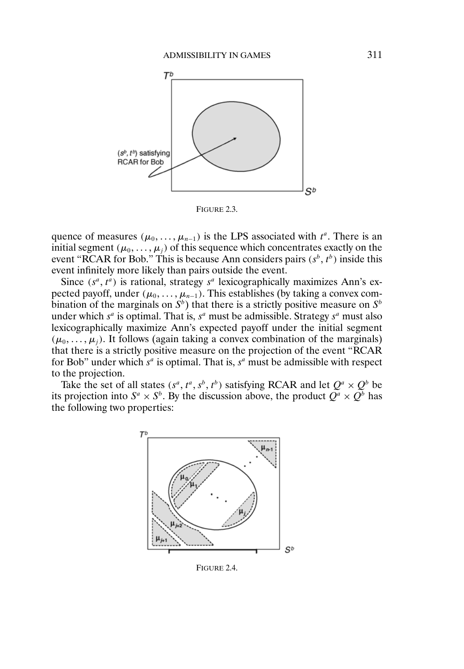<span id="page-5-0"></span>

FIGURE 2.3.

quence of measures  $(\mu_0, \dots, \mu_{n-1})$  is the LPS associated with  $t^a$ . There is an initial segment  $(\mu_0, \dots, \mu_j)$  of this sequence which concentrates exactly on the event "RCAR for Bob." This is because Ann considers pairs  $(s^b, t^b)$  inside this event infinitely more likely than pairs outside the event.

Since  $(s^a, t^a)$  is rational, strategy  $s^a$  lexicographically maximizes Ann's expected payoff, under  $(\mu_0, \dots, \mu_{n-1})$ . This establishes (by taking a convex combination of the marginals on  $S^b$ ) that there is a strictly positive measure on  $S^b$ under which  $s^a$  is optimal. That is,  $s^a$  must be admissible. Strategy  $s^a$  must also lexicographically maximize Ann's expected payoff under the initial segment  $(\mu_0, \dots, \mu_j)$ . It follows (again taking a convex combination of the marginals) that there is a strictly positive measure on the projection of the event "RCAR for Bob" under which  $s^a$  is optimal. That is,  $s^a$  must be admissible with respect to the projection.

Take the set of all states  $(s^a, t^a, s^b, t^b)$  satisfying RCAR and let  $Q^a \times Q^b$  be its projection into  $S^a \times S^b$ . By the discussion above, the product  $Q^a \times Q^b$  has the following two properties:



FIGURE 2.4.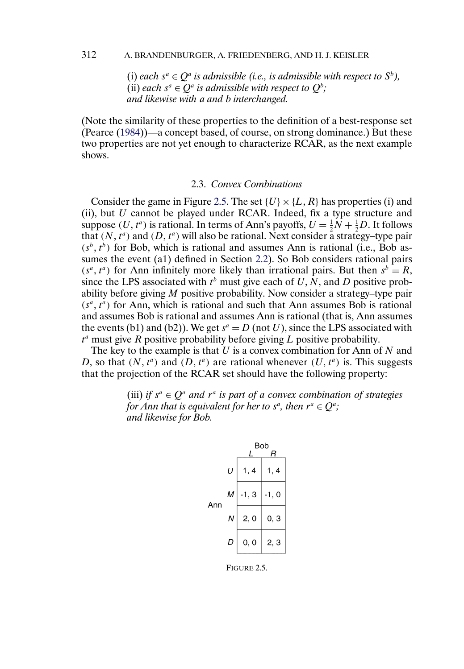(i) each  $s^a \in Q^a$  *is admissible (i.e., is admissible with respect to*  $S^b$ ), (ii) *each*  $s^a \in O^a$  *is admissible with respect to*  $O^b$ ; *and likewise with* a *and* b *interchanged.*

<span id="page-6-0"></span>(Note the similarity of these properties to the definition of a best-response set (Pearce [\(1984\)](#page-46-0))—a concept based, of course, on strong dominance.) But these two properties are not yet enough to characterize RCAR, as the next example shows.

## 2.3. *Convex Combinations*

Consider the game in Figure 2.5. The set  $\{U\} \times \{L, R\}$  has properties (i) and (ii), but  $U$  cannot be played under RCAR. Indeed, fix a type structure and suppose  $(U, t^a)$  is rational. In terms of Ann's payoffs,  $U = \frac{1}{2}N + \frac{1}{2}D$ . It follows that  $(N, t^a)$  and  $(D, t^a)$  will also be rational. Next consider a strategy–type pair  $(s^b, t^b)$  for Bob, which is rational and assumes Ann is rational (i.e., Bob assumes the event (a1) defined in Section [2.2\)](#page-4-0). So Bob considers rational pairs  $(s^a, t^a)$  for Ann infinitely more likely than irrational pairs. But then  $s^b = R$ , since the LPS associated with  $t^b$  must give each of U, N, and D positive probability before giving M positive probability. Now consider a strategy–type pair  $(s<sup>a</sup>, t<sup>a</sup>)$  for Ann, which is rational and such that Ann assumes Bob is rational and assumes Bob is rational and assumes Ann is rational (that is, Ann assumes the events (b1) and (b2)). We get  $s^a = D$  (not U), since the LPS associated with  $t^a$  must give R positive probability before giving L positive probability.

The key to the example is that  $U$  is a convex combination for Ann of  $N$  and D, so that  $(N, t^a)$  and  $(D, t^a)$  are rational whenever  $(U, t^a)$  is. This suggests that the projection of the RCAR set should have the following property:

> (iii) *if*  $s^a \in Q^a$  *and*  $r^a$  *is part of a convex combination of strategies for Ann that is equivalent for her to*  $s^a$ *, then*  $r^a \in Q^a$ *; and likewise for Bob.*



FIGURE 2.5.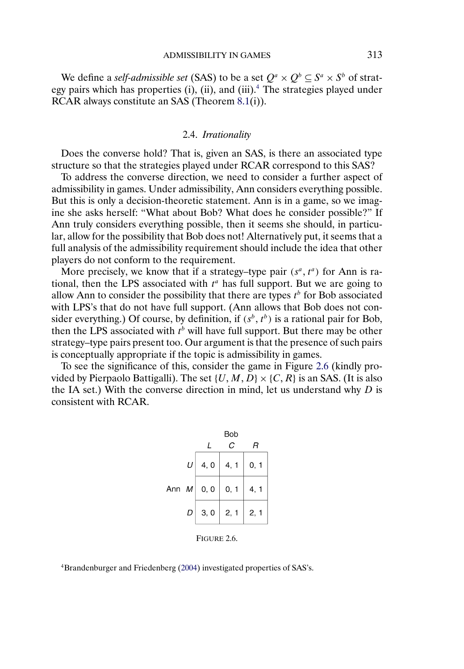<span id="page-7-0"></span>We define a *self-admissible set* (SAS) to be a set  $O^a \times O^b \subseteq S^a \times S^b$  of strategy pairs which has properties  $(i)$ ,  $(ii)$ , and  $(iii)$ .<sup>4</sup> The strategies played under RCAR always constitute an SAS (Theorem [8.1\(](#page-21-0)i)).

## 2.4. *Irrationality*

Does the converse hold? That is, given an SAS, is there an associated type structure so that the strategies played under RCAR correspond to this SAS?

To address the converse direction, we need to consider a further aspect of admissibility in games. Under admissibility, Ann considers everything possible. But this is only a decision-theoretic statement. Ann is in a game, so we imagine she asks herself: "What about Bob? What does he consider possible?" If Ann truly considers everything possible, then it seems she should, in particular, allow for the possibility that Bob does not! Alternatively put, it seems that a full analysis of the admissibility requirement should include the idea that other players do not conform to the requirement.

More precisely, we know that if a strategy–type pair  $(s^a, t^a)$  for Ann is rational, then the LPS associated with  $t^a$  has full support. But we are going to allow Ann to consider the possibility that there are types  $t^b$  for Bob associated with LPS's that do not have full support. (Ann allows that Bob does not consider everything.) Of course, by definition, if  $(s^b, t^b)$  is a rational pair for Bob, then the LPS associated with  $t^b$  will have full support. But there may be other strategy–type pairs present too. Our argument is that the presence of such pairs is conceptually appropriate if the topic is admissibility in games.

To see the significance of this, consider the game in Figure 2.6 (kindly provided by Pierpaolo Battigalli). The set  $\{U, M, D\} \times \{C, R\}$  is an SAS. (It is also the IA set.) With the converse direction in mind, let us understand why  $D$  is consistent with RCAR.

|         |   | Bob  |      |                               |
|---------|---|------|------|-------------------------------|
|         |   | L    | C    | R                             |
|         | U | 4,0  | 4, 1 | 0, 1                          |
| Ann $M$ |   | 0, 0 | 0, 1 | 4,<br>$\overline{\mathbf{1}}$ |
|         | D | 3,0  | 2, 1 | 2, 1                          |

FIGURE 2.6

4Brandenburger and Friedenberg [\(2004\)](#page-45-0) investigated properties of SAS's.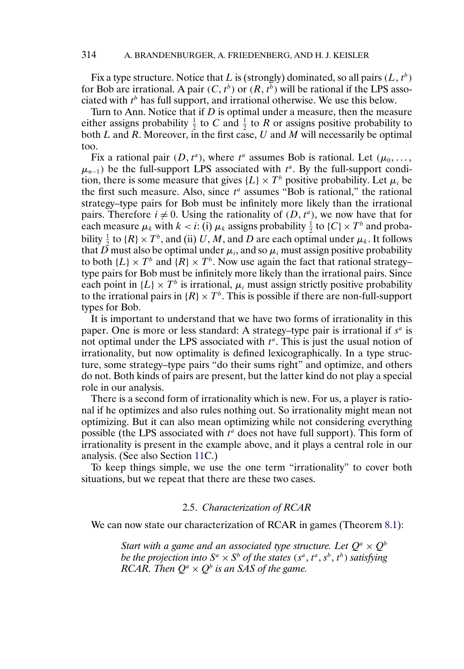<span id="page-8-0"></span>Fix a type structure. Notice that L is (strongly) dominated, so all pairs  $(L, t^b)$ for Bob are irrational. A pair  $(C, t^b)$  or  $(R, t^b)$  will be rational if the LPS associated with  $t<sup>b</sup>$  has full support, and irrational otherwise. We use this below.

Turn to Ann. Notice that if  $D$  is optimal under a measure, then the measure either assigns probability  $\frac{1}{2}$  to C and  $\frac{1}{2}$  to R or assigns positive probability to both  $L$  and  $R$ . Moreover, in the first case,  $U$  and  $M$  will necessarily be optimal too.

Fix a rational pair  $(D, t^a)$ , where  $t^a$  assumes Bob is rational. Let  $(\mu_0, \ldots,$  $\mu_{n-1}$ ) be the full-support LPS associated with  $t^a$ . By the full-support condition, there is some measure that gives  $\{L\} \times T^b$  positive probability. Let  $\mu_i$  be the first such measure. Also, since  $t^a$  assumes "Bob is rational," the rational strategy–type pairs for Bob must be infinitely more likely than the irrational pairs. Therefore  $i \neq 0$ . Using the rationality of  $(D, t^a)$ , we now have that for each measure  $\mu_k$  with  $k < i$ : (i)  $\mu_k$  assigns probability  $\frac{1}{2}$  to  $\{C\} \times T^b$  and probability  $\frac{1}{2}$  to  $\{R\} \times T^b$ , and (ii) U, M, and D are each optimal under  $\mu_k$ . It follows that D must also be optimal under  $\mu_i$ , and so  $\mu_i$  must assign positive probability to both  $\{L\} \times T^b$  and  $\{R\} \times T^b$ . Now use again the fact that rational strategytype pairs for Bob must be infinitely more likely than the irrational pairs. Since each point in  $\{L\} \times T^b$  is irrational,  $\mu_i$  must assign strictly positive probability to the irrational pairs in  $\{R\} \times T^b$ . This is possible if there are non-full-support types for Bob.

It is important to understand that we have two forms of irrationality in this paper. One is more or less standard: A strategy–type pair is irrational if  $s^a$  is not optimal under the LPS associated with  $t<sup>a</sup>$ . This is just the usual notion of irrationality, but now optimality is defined lexicographically. In a type structure, some strategy–type pairs "do their sums right" and optimize, and others do not. Both kinds of pairs are present, but the latter kind do not play a special role in our analysis.

There is a second form of irrationality which is new. For us, a player is rational if he optimizes and also rules nothing out. So irrationality might mean not optimizing. But it can also mean optimizing while not considering everything possible (the LPS associated with  $t^a$  does not have full support). This form of irrationality is present in the example above, and it plays a central role in our analysis. (See also Section [11C](#page-26-0).)

To keep things simple, we use the one term "irrationality" to cover both situations, but we repeat that there are these two cases.

#### 2.5. *Characterization of RCAR*

We can now state our characterization of RCAR in games (Theorem [8.1\)](#page-21-0):

*Start with a game and an associated type structure. Let*  $Q^a \times Q^b$ be the projection into  $S^a \times S^b$  of the states  $(s^a, t^a, s^b, t^b)$  satisfying *RCAR. Then*  $Q^a \times Q^b$  *is an SAS of the game.*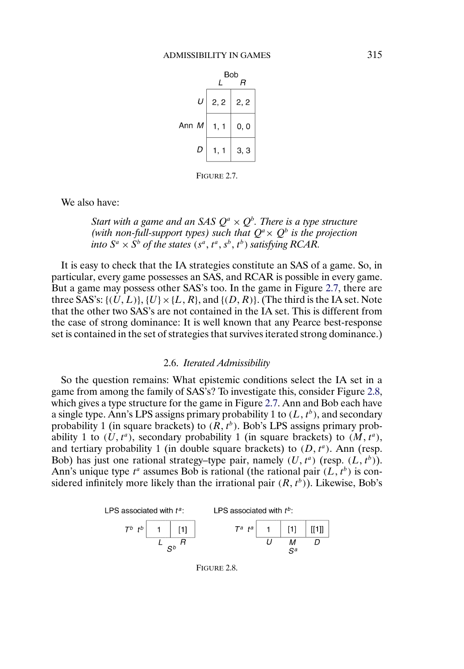<span id="page-9-0"></span>

FIGURE 2.7.

We also have:

*Start with a game and an SAS*  $Q^a \times Q^b$ *. There is a type structure (with non-full-support types) such that*  $Q^a \times Q^b$  *is the projection* into  $S^a \times S^b$  of the states  $(s^a, t^a, s^b, t^b)$  satisfying RCAR.

It is easy to check that the IA strategies constitute an SAS of a game. So, in particular, every game possesses an SAS, and RCAR is possible in every game. But a game may possess other SAS's too. In the game in Figure 2.7, there are three SAS's:  $\{(U, L)\}, \{U\} \times \{L, R\}$ , and  $\{(D, R)\}.$  (The third is the IA set. Note that the other two SAS's are not contained in the IA set. This is different from the case of strong dominance: It is well known that any Pearce best-response set is contained in the set of strategies that survives iterated strong dominance.)

#### 2.6. *Iterated Admissibility*

So the question remains: What epistemic conditions select the IA set in a game from among the family of SAS's? To investigate this, consider Figure 2.8, which gives a type structure for the game in Figure 2.7. Ann and Bob each have a single type. Ann's LPS assigns primary probability 1 to  $(L, t^b)$ , and secondary probability 1 (in square brackets) to  $(R, t^b)$ . Bob's LPS assigns primary probability 1 to  $(U, t^a)$ , secondary probability 1 (in square brackets) to  $(M, t^a)$ , and tertiary probability 1 (in double square brackets) to  $(D, t^a)$ . Ann (resp. Bob) has just one rational strategy–type pair, namely  $(U, t^a)$  (resp.  $(L, t^b)$ ). Ann's unique type  $t^a$  assumes Bob is rational (the rational pair  $(L, t^b)$  is considered infinitely more likely than the irrational pair  $(R, t^b)$ ). Likewise, Bob's



FIGURE 2.8.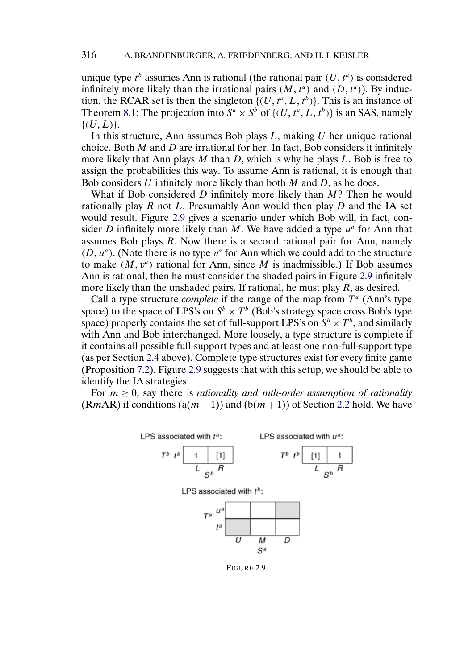unique type  $t^b$  assumes Ann is rational (the rational pair  $(U, t^a)$  is considered infinitely more likely than the irrational pairs  $(M, t^a)$  and  $(D, t^a)$ ). By induction, the RCAR set is then the singleton  $\{(U, t^a, L, t^b)\}\)$ . This is an instance of Theorem [8.1:](#page-21-0) The projection into  $S^a \times S^b$  of  $\{(U, t^a, L, t^b)\}\)$  is an SAS, namely  $\{(U, L)\}.$ 

In this structure, Ann assumes Bob plays  $L$ , making  $U$  her unique rational choice. Both  $M$  and  $D$  are irrational for her. In fact, Bob considers it infinitely more likely that Ann plays  $M$  than  $D$ , which is why he plays  $L$ . Bob is free to assign the probabilities this way. To assume Ann is rational, it is enough that Bob considers  $U$  infinitely more likely than both  $M$  and  $D$ , as he does.

What if Bob considered  $D$  infinitely more likely than  $M$ ? Then he would rationally play  $R$  not  $L$ . Presumably Ann would then play  $D$  and the IA set would result. Figure 2.9 gives a scenario under which Bob will, in fact, consider D infinitely more likely than M. We have added a type  $u^a$  for Ann that assumes Bob plays R. Now there is a second rational pair for Ann, namely  $(D, u<sup>a</sup>)$ . (Note there is no type  $v<sup>a</sup>$  for Ann which we could add to the structure to make  $(M, v^a)$  rational for Ann, since M is inadmissible.) If Bob assumes Ann is rational, then he must consider the shaded pairs in Figure 2.9 infinitely more likely than the unshaded pairs. If rational, he must play  $R$ , as desired.

Call a type structure *complete* if the range of the map from  $T<sup>a</sup>$  (Ann's type space) to the space of LPS's on  $S^b \times T^b$  (Bob's strategy space cross Bob's type space) properly contains the set of full-support LPS's on  $S^b \times T^b$ , and similarly with Ann and Bob interchanged. More loosely, a type structure is complete if it contains all possible full-support types and at least one non-full-support type (as per Section [2.4](#page-7-0) above). Complete type structures exist for every finite game (Proposition [7.2\)](#page-21-0). Figure 2.9 suggests that with this setup, we should be able to identify the IA strategies.

For  $m \geq 0$ , say there is *rationality and mth-order assumption of rationality* (RmAR) if conditions  $(a(m + 1))$  and  $(b(m + 1))$  of Section [2.2](#page-4-0) hold. We have



FIGURE 2.9.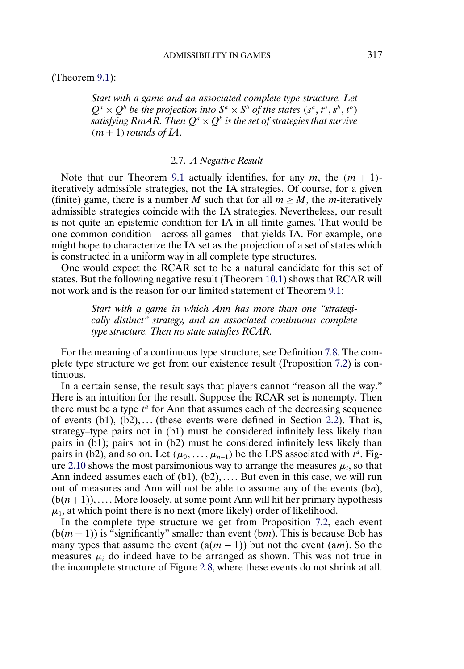<span id="page-11-0"></span>(Theorem [9.1\)](#page-23-0):

*Start with a game and an associated complete type structure. Let*  $Q^a \times Q^b$  be the projection into  $S^a \times S^b$  of the states  $(s^a, t^a, s^b, t^b)$ *satisfying RmAR. Then*  $Q^a \times Q^b$  *is the set of strategies that survive*  $(m+1)$  *rounds of IA*.

#### 2.7. *A Negative Result*

Note that our Theorem [9.1](#page-23-0) actually identifies, for any  $m$ , the  $(m + 1)$ iteratively admissible strategies, not the IA strategies. Of course, for a given (finite) game, there is a number M such that for all  $m \geq M$ , the m-iteratively admissible strategies coincide with the IA strategies. Nevertheless, our result is not quite an epistemic condition for IA in all finite games. That would be one common condition—across all games—that yields IA. For example, one might hope to characterize the IA set as the projection of a set of states which is constructed in a uniform way in all complete type structures.

One would expect the RCAR set to be a natural candidate for this set of states. But the following negative result (Theorem [10.1\)](#page-26-0) shows that RCAR will not work and is the reason for our limited statement of Theorem [9.1:](#page-23-0)

> *Start with a game in which Ann has more than one "strategically distinct" strategy, and an associated continuous complete type structure. Then no state satisfies RCAR.*

For the meaning of a continuous type structure, see Definition [7.8.](#page-21-0) The complete type structure we get from our existence result (Proposition [7.2\)](#page-21-0) is continuous.

In a certain sense, the result says that players cannot "reason all the way." Here is an intuition for the result. Suppose the RCAR set is nonempty. Then there must be a type  $t^a$  for Ann that assumes each of the decreasing sequence of events  $(b1)$ ,  $(b2)$ ,... (these events were defined in Section [2.2\)](#page-4-0). That is, strategy–type pairs not in (b1) must be considered infinitely less likely than pairs in (b1); pairs not in (b2) must be considered infinitely less likely than pairs in (b2), and so on. Let  $(\mu_0, \dots, \mu_{n-1})$  be the LPS associated with  $t^a$ . Fig-ure [2.10](#page-12-0) shows the most parsimonious way to arrange the measures  $\mu_i$ , so that Ann indeed assumes each of  $(b1)$ ,  $(b2)$ ,.... But even in this case, we will run out of measures and Ann will not be able to assume any of the events  $(bn)$ ,  $(b(n+1))$ , ... . More loosely, at some point Ann will hit her primary hypothesis  $\mu_0$ , at which point there is no next (more likely) order of likelihood.

In the complete type structure we get from Proposition [7.2,](#page-21-0) each event  $(b(m + 1))$  is "significantly" smaller than event  $(bm)$ . This is because Bob has many types that assume the event  $(a(m - 1))$  but not the event  $(am)$ . So the measures  $\mu_i$  do indeed have to be arranged as shown. This was not true in the incomplete structure of Figure [2.8,](#page-9-0) where these events do not shrink at all.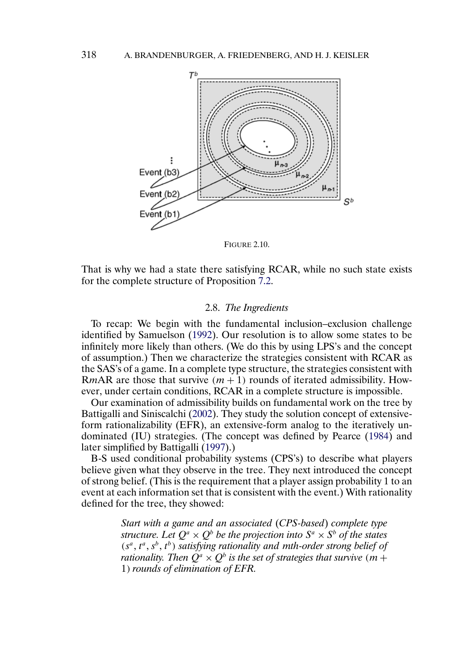<span id="page-12-0"></span>

FIGURE 2.10.

That is why we had a state there satisfying RCAR, while no such state exists for the complete structure of Proposition [7.2.](#page-21-0)

#### 2.8. *The Ingredients*

To recap: We begin with the fundamental inclusion–exclusion challenge identified by Samuelson [\(1992\)](#page-46-0). Our resolution is to allow some states to be infinitely more likely than others. (We do this by using LPS's and the concept of assumption.) Then we characterize the strategies consistent with RCAR as the SAS's of a game. In a complete type structure, the strategies consistent with RmAR are those that survive  $(m + 1)$  rounds of iterated admissibility. However, under certain conditions, RCAR in a complete structure is impossible.

Our examination of admissibility builds on fundamental work on the tree by Battigalli and Siniscalchi [\(2002\)](#page-45-0). They study the solution concept of extensiveform rationalizability (EFR), an extensive-form analog to the iteratively undominated (IU) strategies. (The concept was defined by Pearce [\(1984\)](#page-46-0) and later simplified by Battigalli [\(1997\)](#page-45-0).)

B-S used conditional probability systems (CPS's) to describe what players believe given what they observe in the tree. They next introduced the concept of strong belief. (This is the requirement that a player assign probability 1 to an event at each information set that is consistent with the event.) With rationality defined for the tree, they showed:

> *Start with a game and an associated* (*CPS-based*) *complete type structure. Let*  $Q^a \times Q^b$  *be the projection into*  $S^a \times S^b$  *of the states*  $(s^a, t^a, s^b, t^b)$  *satisfying rationality and mth-order strong belief of rationality. Then*  $Q^a \times Q^b$  *is the set of strategies that survive* (*m* + 1) *rounds of elimination of EFR.*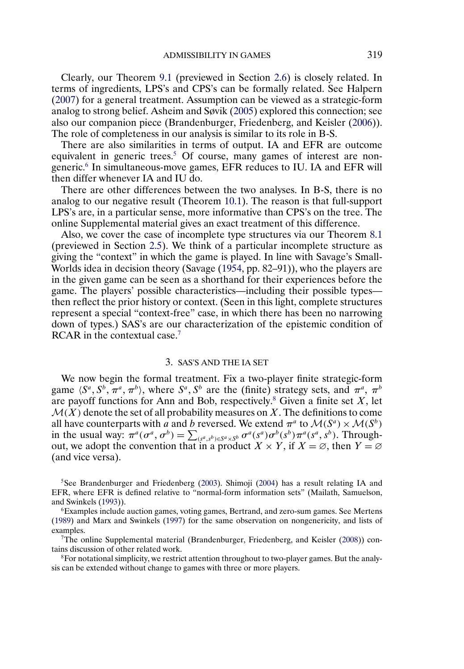<span id="page-13-0"></span>Clearly, our Theorem [9.1](#page-23-0) (previewed in Section [2.6\)](#page-9-0) is closely related. In terms of ingredients, LPS's and CPS's can be formally related. See Halpern [\(2007\)](#page-45-0) for a general treatment. Assumption can be viewed as a strategic-form analog to strong belief. Asheim and Søvik [\(2005\)](#page-45-0) explored this connection; see also our companion piece (Brandenburger, Friedenberg, and Keisler [\(2006\)](#page-45-0)). The role of completeness in our analysis is similar to its role in B-S.

There are also similarities in terms of output. IA and EFR are outcome equivalent in generic trees.<sup>5</sup> Of course, many games of interest are nongeneric.6 In simultaneous-move games, EFR reduces to IU. IA and EFR will then differ whenever IA and IU do.

There are other differences between the two analyses. In B-S, there is no analog to our negative result (Theorem [10.1\)](#page-26-0). The reason is that full-support LPS's are, in a particular sense, more informative than CPS's on the tree. The online Supplemental material gives an exact treatment of this difference.

Also, we cover the case of incomplete type structures via our Theorem [8.1](#page-21-0) (previewed in Section [2.5\)](#page-8-0). We think of a particular incomplete structure as giving the "context" in which the game is played. In line with Savage's Small-Worlds idea in decision theory (Savage [\(1954,](#page-46-0) pp. 82–91)), who the players are in the given game can be seen as a shorthand for their experiences before the game. The players' possible characteristics—including their possible types then reflect the prior history or context. (Seen in this light, complete structures represent a special "context-free" case, in which there has been no narrowing down of types.) SAS's are our characterization of the epistemic condition of RCAR in the contextual case.<sup>7</sup>

## 3. SAS'S AND THE IA SET

We now begin the formal treatment. Fix a two-player finite strategic-form game  $\langle S^a, S^b, \pi^a, \pi^b \rangle$ , where  $S^a, S^b$  are the (finite) strategy sets, and  $\pi^a, \pi^b$ are payoff functions for Ann and Bob, respectively.<sup>8</sup> Given a finite set  $X$ , let  $\mathcal{M}(X)$  denote the set of all probability measures on X. The definitions to come all have counterparts with a and b reversed. We extend  $\pi^a$  to  $\mathcal{M}(S^a) \times \mathcal{M}(S^b)$ in the usual way:  $\pi^a(\sigma^a, \sigma^b) = \sum_{(s^a, s^b) \in S^a \times S^b} \sigma^a(s^a) \sigma^b(s^b) \pi^a(s^a, s^b)$ . Throughout, we adopt the convention that in a product  $X \times Y$ , if  $X = \emptyset$ , then  $Y = \emptyset$ (and vice versa).

<sup>5</sup>See Brandenburger and Friedenberg [\(2003\)](#page-45-0). Shimoji [\(2004\)](#page-46-0) has a result relating IA and EFR, where EFR is defined relative to "normal-form information sets" (Mailath, Samuelson, and Swinkels [\(1993\)](#page-46-0)).

<sup>8</sup>For notational simplicity, we restrict attention throughout to two-player games. But the analysis can be extended without change to games with three or more players.

<sup>&</sup>lt;sup>6</sup>Examples include auction games, voting games, Bertrand, and zero-sum games. See Mertens [\(1989\)](#page-46-0) and Marx and Swinkels [\(1997\)](#page-46-0) for the same observation on nongenericity, and lists of examples.

<sup>7</sup>The online Supplemental material (Brandenburger, Friedenberg, and Keisler [\(2008\)](#page-45-0)) contains discussion of other related work.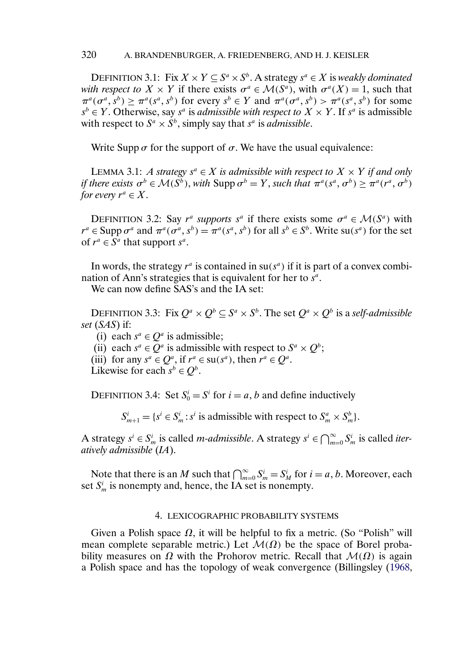<span id="page-14-0"></span>DEFINITION 3.1: Fix  $X \times Y \subseteq S^a \times S^b$ . A strategy  $s^a \in X$  is *weakly dominated with respect to*  $X \times Y$  if there exists  $\sigma^a \in \mathcal{M}(S^a)$ , with  $\sigma^a(X) = 1$ , such that  $\pi^a(\sigma^a, s^b) \ge \pi^a(s^a, s^b)$  for every  $s^b \in Y$  and  $\pi^a(\sigma^a, s^b) > \pi^a(s^a, s^b)$  for some  $s^b \in Y$ . Otherwise, say  $s^a$  is *admissible with respect to*  $X \times Y$ . If  $s^a$  is admissible with respect to  $S^a \times S^b$ , simply say that  $s^a$  is *admissible*.

Write Supp  $\sigma$  for the support of  $\sigma$ . We have the usual equivalence:

LEMMA 3.1: *A strategy*  $s^a \in X$  *is admissible with respect to*  $X \times Y$  *if and only if there exists*  $\sigma^b \in \mathcal{M}(S^b)$ , *with* Supp  $\sigma^b = Y$ , *such that*  $\pi^a(s^a, \sigma^b) \geq \pi^a(r^a, \sigma^b)$ *for every*  $r^a \in X$ .

DEFINITION 3.2: Say  $r^a$  *supports*  $s^a$  if there exists some  $\sigma^a \in \mathcal{M}(S^a)$  with  $r^a \in \text{Supp } \sigma^a$  and  $\pi^a(\sigma^a, s^b) = \pi^a(s^a, s^b)$  for all  $s^b \in S^b$ . Write su $(s^a)$  for the set of  $r^a \in S^a$  that support  $s^a$ .

In words, the strategy  $r^a$  is contained in su( $s^a$ ) if it is part of a convex combination of Ann's strategies that is equivalent for her to  $s^a$ .

We can now define SAS's and the IA set:

DEFINITION 3.3: Fix  $Q^a \times Q^b \subseteq S^a \times S^b$ . The set  $Q^a \times Q^b$  is a *self-admissible set* (*SAS*) if:

(i) each  $s^a \in Q^a$  is admissible;

(ii) each  $s^a \in Q^a$  is admissible with respect to  $S^a \times Q^b$ ;

(iii) for any  $s^a \in Q^a$ , if  $r^a \in su(s^a)$ , then  $r^a \in Q^a$ .

Likewise for each  $s^b \in Q^b$ .

DEFINITION 3.4: Set  $S_0^i = S^i$  for  $i = a, b$  and define inductively

 $S_{m+1}^i = \{s^i \in S_m^i : s^i \text{ is admissible with respect to } S_m^a \times S_m^b\}.$ 

A strategy  $s^i \in S_m^i$  is called *m-admissible*. A strategy  $s^i \in \bigcap_{m=0}^{\infty} S_m^i$  is called *iteratively admissible* (*IA*).

Note that there is an M such that  $\bigcap_{m=0}^{\infty} S_m^i = S_M^i$  for  $i = a, b$ . Moreover, each set  $S_m^i$  is nonempty and, hence, the IA set is nonempty.

#### 4. LEXICOGRAPHIC PROBABILITY SYSTEMS

Given a Polish space  $\Omega$ , it will be helpful to fix a metric. (So "Polish" will mean complete separable metric.) Let  $\mathcal{M}(\Omega)$  be the space of Borel probability measures on  $\Omega$  with the Prohorov metric. Recall that  $\mathcal{M}(\Omega)$  is again a Polish space and has the topology of weak convergence (Billingsley [\(1968,](#page-45-0)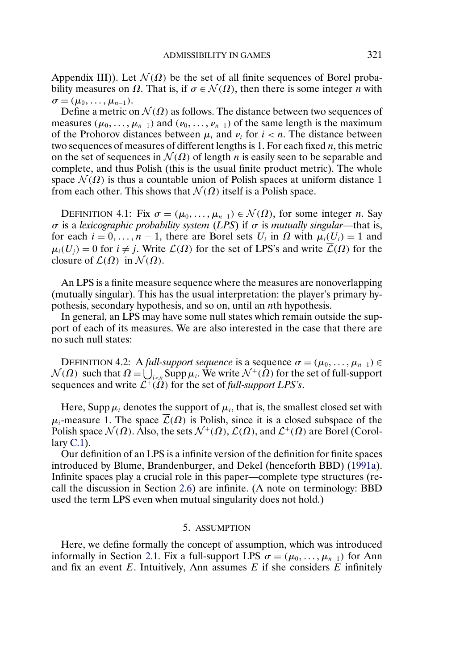<span id="page-15-0"></span>Appendix III)). Let  $\mathcal{N}(\Omega)$  be the set of all finite sequences of Borel probability measures on  $\Omega$ . That is, if  $\sigma \in \mathcal{N}(\Omega)$ , then there is some integer *n* with  $\sigma = (\mu_0, \ldots, \mu_{n-1}).$ 

Define a metric on  $\mathcal{N}(\Omega)$  as follows. The distance between two sequences of measures ( $\mu_0, \ldots, \mu_{n-1}$ ) and ( $\nu_0, \ldots, \nu_{n-1}$ ) of the same length is the maximum of the Prohorov distances between  $\mu_i$  and  $\nu_i$  for  $i < n$ . The distance between two sequences of measures of different lengths is 1. For each fixed  $n$ , this metric on the set of sequences in  $\mathcal{N}(\Omega)$  of length n is easily seen to be separable and complete, and thus Polish (this is the usual finite product metric). The whole space  $\mathcal{N}(\Omega)$  is thus a countable union of Polish spaces at uniform distance 1 from each other. This shows that  $\mathcal{N}(\Omega)$  itself is a Polish space.

DEFINITION 4.1: Fix  $\sigma = (\mu_0, ..., \mu_{n-1}) \in \mathcal{N}(\Omega)$ , for some integer *n*. Say σ is a *lexicographic probability system* (*LPS*) if σ is *mutually singular*—that is, for each  $i = 0, \dots, n - 1$ , there are Borel sets  $U_i$  in  $\Omega$  with  $\mu_i(U_i) = 1$  and  $\mu_i(U_i) = 0$  for  $i \neq j$ . Write  $\mathcal{L}(\Omega)$  for the set of LPS's and write  $\mathcal{L}(\Omega)$  for the closure of  $\mathcal{L}(\Omega)$  in  $\mathcal{N}(\Omega)$ .

An LPS is a finite measure sequence where the measures are nonoverlapping (mutually singular). This has the usual interpretation: the player's primary hypothesis, secondary hypothesis, and so on, until an nth hypothesis.

In general, an LPS may have some null states which remain outside the support of each of its measures. We are also interested in the case that there are no such null states:

DEFINITION 4.2: A *full-support sequence* is a sequence  $\sigma = (\mu_0, \dots, \mu_{n-1}) \in$  $\mathcal{N}(\Omega)$  such that  $\Omega = \bigcup_{i \leq n} \text{Supp}\,\mu_i$ . We write  $\mathcal{N}^+(\Omega)$  for the set of full-support sequences and write  $\mathcal{L}^+(\Omega)$  for the set of *full-support LPS's*.

Here, Supp  $\mu_i$  denotes the support of  $\mu_i$ , that is, the smallest closed set with  $\mu_i$ -measure 1. The space  $\overline{\mathcal{L}}(\Omega)$  is Polish, since it is a closed subspace of the Polish space  $\mathcal{N}(\Omega)$ . Also, the sets  $\mathcal{N}^+(\Omega)$ ,  $\mathcal{L}(\Omega)$ , and  $\mathcal{L}^+(\Omega)$  are Borel (Corollary  $C.1$ ).

Our definition of an LPS is a infinite version of the definition for finite spaces introduced by Blume, Brandenburger, and Dekel (henceforth BBD) [\(1991a\)](#page-45-0). Infinite spaces play a crucial role in this paper—complete type structures (recall the discussion in Section [2.6\)](#page-9-0) are infinite. (A note on terminology: BBD used the term LPS even when mutual singularity does not hold.)

#### 5. ASSUMPTION

Here, we define formally the concept of assumption, which was introduced informally in Section [2.1.](#page-3-0) Fix a full-support LPS  $\sigma = (\mu_0, \dots, \mu_{n-1})$  for Ann and fix an event  $E$ . Intuitively, Ann assumes  $E$  if she considers  $E$  infinitely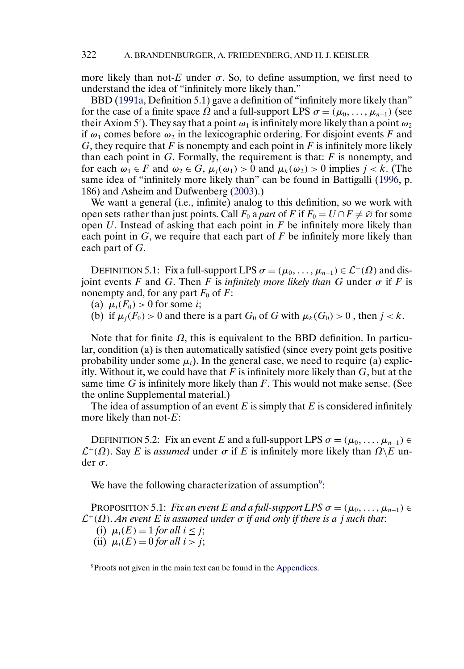<span id="page-16-0"></span>more likely than not-E under  $\sigma$ . So, to define assumption, we first need to understand the idea of "infinitely more likely than."

BBD [\(1991a,](#page-45-0) Definition 5.1) gave a definition of "infinitely more likely than" for the case of a finite space  $\Omega$  and a full-support LPS  $\sigma = (\mu_0, \dots, \mu_{n-1})$  (see their Axiom 5'). They say that a point  $\omega_1$  is infinitely more likely than a point  $\omega_2$ if  $\omega_1$  comes before  $\omega_2$  in the lexicographic ordering. For disjoint events F and G, they require that F is nonempty and each point in F is infinitely more likely than each point in  $G$ . Formally, the requirement is that:  $F$  is nonempty, and for each  $\omega_1 \in F$  and  $\omega_2 \in G$ ,  $\mu_i(\omega_1) > 0$  and  $\mu_k(\omega_2) > 0$  implies  $j < k$ . (The same idea of "infinitely more likely than" can be found in Battigalli [\(1996,](#page-45-0) p. 186) and Asheim and Dufwenberg [\(2003\)](#page-45-0).)

We want a general (i.e., infinite) analog to this definition, so we work with open sets rather than just points. Call  $F_0$  a *part* of F if  $F_0 = U \cap F \neq \emptyset$  for some open  $U$ . Instead of asking that each point in  $F$  be infinitely more likely than each point in  $G$ , we require that each part of  $F$  be infinitely more likely than each part of G.

DEFINITION 5.1: Fix a full-support LPS  $\sigma = (\mu_0, ..., \mu_{n-1}) \in \mathcal{L}^+(\Omega)$  and disjoint events F and G. Then F is *infinitely more likely than* G under  $\sigma$  if F is nonempty and, for any part  $F_0$  of F:

(a)  $\mu_i(F_0) > 0$  for some *i*;

(b) if  $\mu_i(F_0) > 0$  and there is a part  $G_0$  of G with  $\mu_k(G_0) > 0$ , then  $i < k$ .

Note that for finite  $\Omega$ , this is equivalent to the BBD definition. In particular, condition (a) is then automatically satisfied (since every point gets positive probability under some  $\mu_i$ ). In the general case, we need to require (a) explicitly. Without it, we could have that  $F$  is infinitely more likely than  $G$ , but at the same time  $G$  is infinitely more likely than  $F$ . This would not make sense. (See the online Supplemental material.)

The idea of assumption of an event  $E$  is simply that  $E$  is considered infinitely more likely than not-E:

DEFINITION 5.2: Fix an event E and a full-support LPS  $\sigma = (\mu_0, \dots, \mu_{n-1}) \in$  $\mathcal{L}^+(\Omega)$ . Say E is *assumed* under  $\sigma$  if E is infinitely more likely than  $\Omega \backslash E$  under σ.

We have the following characterization of assumption $\degree$ :

PROPOSITION 5.1: *Fix an event E and a full-support LPS*  $\sigma = (\mu_0, \dots, \mu_{n-1}) \in$  $\mathcal{L}^+(\Omega)$ . An event E is assumed under  $\sigma$  if and only if there is a j such that:

(i)  $\mu_i(E) = 1$  *for all*  $i \leq j$ ;

(ii)  $\mu_i(E) = 0$  for all  $i > j$ ;

9Proofs not given in the main text can be found in the Appendices.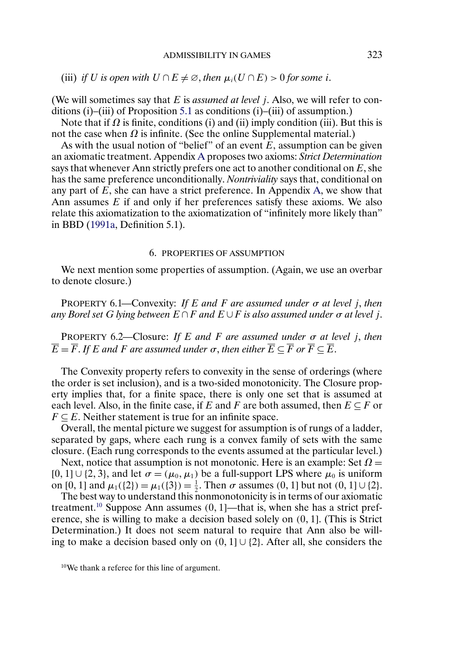<span id="page-17-0"></span>(iii) *if* U is open with  $U \cap E \neq \emptyset$ , then  $\mu_i(U \cap E) > 0$  for some *i*.

(We will sometimes say that E is *assumed at level* j. Also, we will refer to conditions (i)–(iii) of Proposition [5.1](#page-16-0) as conditions (i)–(iii) of assumption.)

Note that if  $\Omega$  is finite, conditions (i) and (ii) imply condition (iii). But this is not the case when  $\Omega$  is infinite. (See the online Supplemental material.)

As with the usual notion of "belief" of an event  $E$ , assumption can be given an axiomatic treatment. Appendix [A](#page-28-0) proposes two axioms: *Strict Determination* says that whenever Ann strictly prefers one act to another conditional on  $E$ , she has the same preference unconditionally. *Nontriviality* says that, conditional on any part of  $E$ , she can have a strict preference. In Appendix  $A$ , we show that Ann assumes  $E$  if and only if her preferences satisfy these axioms. We also relate this axiomatization to the axiomatization of "infinitely more likely than" in BBD [\(1991a,](#page-45-0) Definition 5.1).

## 6. PROPERTIES OF ASSUMPTION

We next mention some properties of assumption. (Again, we use an overbar to denote closure.)

PROPERTY 6.1—Convexity: *If* E *and* F *are assumed under* σ *at level* j, *then any Borel set G lying between*  $E \cap F$  *and*  $E \cup F$  *is also assumed under*  $\sigma$  *at level j*.

PROPERTY 6.2—Closure: *If* E *and* F *are assumed under* σ *at level* j, *then*  $\overline{E} = \overline{F}$ . If E and F are assumed under  $\sigma$ , then either  $\overline{E} \subseteq \overline{F}$  or  $\overline{F} \subseteq \overline{E}$ .

The Convexity property refers to convexity in the sense of orderings (where the order is set inclusion), and is a two-sided monotonicity. The Closure property implies that, for a finite space, there is only one set that is assumed at each level. Also, in the finite case, if E and F are both assumed, then  $E \subseteq F$  or  $F \subseteq E$ . Neither statement is true for an infinite space.

Overall, the mental picture we suggest for assumption is of rungs of a ladder, separated by gaps, where each rung is a convex family of sets with the same closure. (Each rung corresponds to the events assumed at the particular level.)

Next, notice that assumption is not monotonic. Here is an example: Set  $\Omega =$ [0, 1]  $\cup$  {2, 3}, and let  $\sigma = (\mu_0, \mu_1)$  be a full-support LPS where  $\mu_0$  is uniform on [0, 1] and  $\mu_1({2}) = \mu_1({3}) = \frac{1}{2}$ . Then  $\sigma$  assumes (0, 1] but not (0, 1]  $\cup$  {2}.

The best way to understand this nonmonotonicity is in terms of our axiomatic treatment.<sup>10</sup> Suppose Ann assumes  $(0, 1]$ —that is, when she has a strict preference, she is willing to make a decision based solely on  $(0, 1]$ . (This is Strict Determination.) It does not seem natural to require that Ann also be willing to make a decision based only on  $(0, 1]$   $\cup$   $\{2\}$ . After all, she considers the

<sup>10</sup>We thank a referee for this line of argument.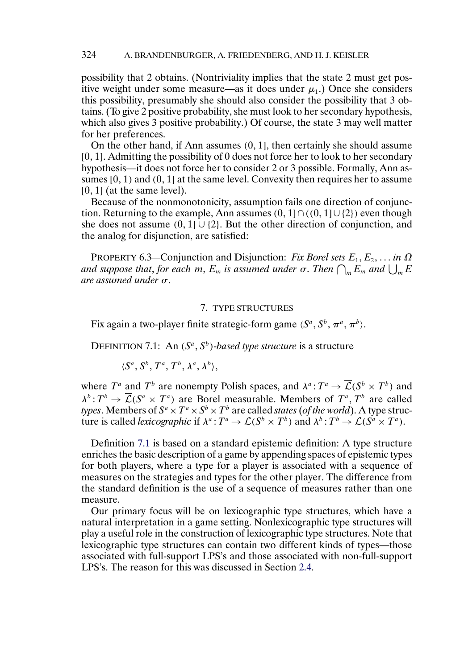<span id="page-18-0"></span>possibility that 2 obtains. (Nontriviality implies that the state 2 must get positive weight under some measure—as it does under  $\mu_1$ .) Once she considers this possibility, presumably she should also consider the possibility that 3 obtains. (To give 2 positive probability, she must look to her secondary hypothesis, which also gives 3 positive probability.) Of course, the state 3 may well matter for her preferences.

On the other hand, if Ann assumes  $(0, 1]$ , then certainly she should assume [0, 1]. Admitting the possibility of 0 does not force her to look to her secondary hypothesis—it does not force her to consider 2 or 3 possible. Formally, Ann assumes  $[0, 1)$  and  $(0, 1]$  at the same level. Convexity then requires her to assume  $[0, 1]$  (at the same level).

Because of the nonmonotonicity, assumption fails one direction of conjunction. Returning to the example, Ann assumes  $(0, 1] \cap ((0, 1] \cup \{2\})$  even though she does not assume  $(0, 1] \cup \{2\}$ . But the other direction of conjunction, and the analog for disjunction, are satisfied:

PROPERTY 6.3—Conjunction and Disjunction: *Fix Borel sets*  $E_1, E_2, \ldots$  in  $\Omega$ and suppose that, for each m,  $E_m$  is assumed under  $\sigma$ . Then  $\bigcap_m \tilde{E}_m$  and  $\bigcup_m E$ *are assumed under* σ.

#### 7. TYPE STRUCTURES

Fix again a two-player finite strategic-form game  $\langle S^a, S^b, \pi^a, \pi^b \rangle$ .

DEFINITION 7.1: An  $(S^a, S^b)$ -based type structure is a structure

 $\langle S^a, S^b, T^a, T^b, \lambda^a, \lambda^b \rangle,$ 

where  $T^a$  and  $T^b$  are nonempty Polish spaces, and  $\lambda^a : T^a \to \overline{\mathcal{L}}(S^b \times T^b)$  and  $\lambda^b: T^b \to \mathcal{L}(S^a \times T^a)$  are Borel measurable. Members of  $T^a, T^b$  are called *types*. Members of  $S^a \times T^a \times S^b \times T^b$  are called *states* (*of the world*). A type structure is called *lexicographic* if  $\lambda^a : T^a \to \mathcal{L}(S^b \times T^b)$  and  $\lambda^b : T^b \to \mathcal{L}(S^a \times T^a)$ .

Definition 7.1 is based on a standard epistemic definition: A type structure enriches the basic description of a game by appending spaces of epistemic types for both players, where a type for a player is associated with a sequence of measures on the strategies and types for the other player. The difference from the standard definition is the use of a sequence of measures rather than one measure.

Our primary focus will be on lexicographic type structures, which have a natural interpretation in a game setting. Nonlexicographic type structures will play a useful role in the construction of lexicographic type structures. Note that lexicographic type structures can contain two different kinds of types—those associated with full-support LPS's and those associated with non-full-support LPS's. The reason for this was discussed in Section [2.4.](#page-7-0)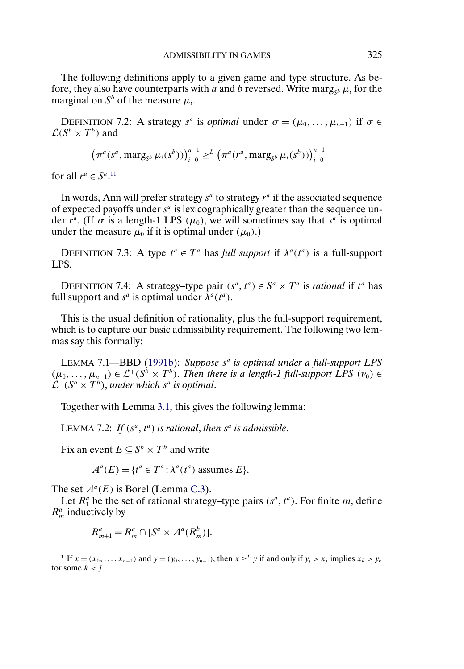<span id="page-19-0"></span>The following definitions apply to a given game and type structure. As before, they also have counterparts with a and b reversed. Write marg<sub>sb</sub>  $\mu_i$  for the marginal on  $S^b$  of the measure  $\mu_i$ .

DEFINITION 7.2: A strategy  $s^a$  is *optimal* under  $\sigma = (\mu_0, \dots, \mu_{n-1})$  if  $\sigma \in$  $\mathcal{L}(S^b \times T^b)$  and

$$
\left(\pi^a(s^a,\max_{S^b}\mu_i(s^b))\right)_{i=0}^{n-1} \geq^L \left(\pi^a(r^a,\max_{S^b}\mu_i(s^b))\right)_{i=0}^{n-1}
$$

for all  $r^a \in S^{a}$ .<sup>11</sup>

In words, Ann will prefer strategy  $s^a$  to strategy  $r^a$  if the associated sequence of expected payoffs under  $s^a$  is lexicographically greater than the sequence under  $r^a$ . (If  $\sigma$  is a length-1 LPS ( $\mu_0$ ), we will sometimes say that  $s^a$  is optimal under the measure  $\mu_0$  if it is optimal under  $(\mu_0)$ .)

DEFINITION 7.3: A type  $t^a \in T^a$  has *full support* if  $\lambda^a(t^a)$  is a full-support LPS.

DEFINITION 7.4: A strategy–type pair  $(s^a, t^a) \in S^a \times T^a$  is *rational* if  $t^a$  has full support and  $s^a$  is optimal under  $\lambda^a(t^a)$ .

This is the usual definition of rationality, plus the full-support requirement, which is to capture our basic admissibility requirement. The following two lemmas say this formally:

LEMMA 7.1—BBD [\(1991b\)](#page-45-0): *Suppose*  $s^a$  *is optimal under a full-support LPS*  $(\mu_0, \dots, \mu_{n-1}) \in \mathcal{L}^+(S^b \times T^b)$ . Then there is a length-1 full-support LPS  $(\nu_0) \in \mathcal{L}^+(S^b \times T^b)$ .  $\mathcal{L}^+(S^b \times T^b)$ , *under which*  $s^a$  *is optimal.* 

Together with Lemma [3.1,](#page-14-0) this gives the following lemma:

LEMMA 7.2: If  $(s^a, t^a)$  *is rational, then*  $s^a$  *is admissible.* 

Fix an event  $E \subseteq S^b \times T^b$  and write

 $A<sup>a</sup>(E) = {t<sup>a</sup> \in T<sup>a</sup> : \lambda<sup>a</sup>(t<sup>a</sup>)$  assumes E}.

The set  $A^a(E)$  is Borel (Lemma [C.3\)](#page-34-0).

Let  $R_1^a$  be the set of rational strategy–type pairs  $(s^a, t^a)$ . For finite m, define  $R_m^a$  inductively by

$$
R_{m+1}^a = R_m^a \cap [S^a \times A^a(R_m^b)].
$$

<sup>11</sup>If  $x = (x_0, \ldots, x_{n-1})$  and  $y = (y_0, \ldots, y_{n-1})$ , then  $x \geq^L y$  if and only if  $y_j > x_j$  implies  $x_k > y_k$ for some  $k < j$ .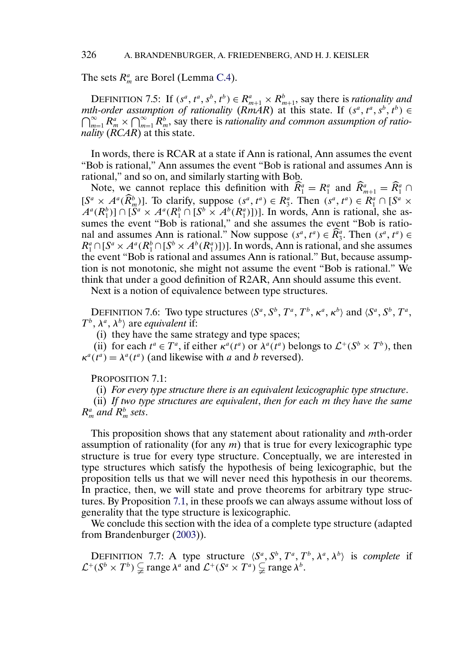<span id="page-20-0"></span>The sets  $R_m^a$  are Borel (Lemma [C.4\)](#page-35-0).

DEFINITION 7.5: If  $(s^a, t^a, s^b, t^b) \in R^a_{m+1} \times R^b_{m+1}$ , say there is *rationality and mth-order assumption of rationality* (*RmAR*) at this state. If  $(s^a, t^a, s^b, t^b) \in$ <br>  $\bigcap_{n=1}^{\infty} B^n$  to  $\bigcap_{n=1}^{\infty} B^n$  are there is noting little and common commution of until  $\bigcap_{m=1}^{\infty} R_m^a \times \bigcap_{m=1}^{\infty} R_m^b$ , say there is *rationality and common assumption of rationality* (*RCAR*) at this state.

In words, there is RCAR at a state if Ann is rational, Ann assumes the event "Bob is rational," Ann assumes the event "Bob is rational and assumes Ann is rational," and so on, and similarly starting with Bob.

Note, we cannot replace this definition with  $\overline{R}_1^a = R_1^a$  and  $\overline{R}_{m+1}^a = \overline{R}_1^a \cap R_1^a$  $[S^a \times A^a(\hat{R}_m^b)]$ . To clarify, suppose  $(s^a, t^a) \in R_3^a$ . Then  $(s^a, t^a) \in R_1^a \cap [S^a \times S^a]$  $A^a(R_1^b)$ ] ∩ [S<sup>a</sup> ×  $A^a(R_1^b \cap [S^b \times A^b(R_1^a)])$ ]. In words, Ann is rational, she assumes the event "Bob is rational," and she assumes the event "Bob is rational and assumes Ann is rational." Now suppose  $(s^a, t^a) \in \mathbb{R}_3^a$ . Then  $(s^a, t^a) \in \mathbb{R}^3$  $R_1^a \cap [S^a \times A^a(R_1^b \cap [S^b \times A^b(R_1^a)])]$ . In words, Ann is rational, and she assumes the event "Bob is rational and assumes Ann is rational." But, because assumption is not monotonic, she might not assume the event "Bob is rational." We think that under a good definition of R2AR, Ann should assume this event.

Next is a notion of equivalence between type structures.

DEFINITION 7.6: Two type structures  $\langle S^a, S^b, T^a, T^b, \kappa^a, \kappa^b \rangle$  and  $\langle S^a, S^b, T^a,$  $T^b$ ,  $\lambda^a$ ,  $\lambda^b$  are *equivalent* if:

(i) they have the same strategy and type spaces;

(ii) for each  $t^a \in T^a$ , if either  $\kappa^a(t^a)$  or  $\lambda^a(t^a)$  belongs to  $\mathcal{L}^+(S^b \times T^b)$ , then  $\kappa^a(t^a) = \lambda^a(t^a)$  (and likewise with a and b reversed).

PROPOSITION 7.1:

(i) *For every type structure there is an equivalent lexicographic type structure*.

(ii) *If two type structures are equivalent*, *then for each* m *they have the same*  $R_m^a$  and  $R_m^b$  sets.

This proposition shows that any statement about rationality and *mth*-order assumption of rationality (for any  $m$ ) that is true for every lexicographic type structure is true for every type structure. Conceptually, we are interested in type structures which satisfy the hypothesis of being lexicographic, but the proposition tells us that we will never need this hypothesis in our theorems. In practice, then, we will state and prove theorems for arbitrary type structures. By Proposition 7.1, in these proofs we can always assume without loss of generality that the type structure is lexicographic.

We conclude this section with the idea of a complete type structure (adapted from Brandenburger [\(2003\)](#page-45-0)).

DEFINITION 7.7: A type structure  $\langle S^a, S^b, T^a, T^b, \lambda^a, \lambda^b \rangle$  is *complete* if  $\mathcal{L}^+(S^b \times T^b) \subsetneq$  range  $\lambda^a$  and  $\mathcal{L}^+(S^a \times T^a) \subsetneq$  range  $\lambda^b$ .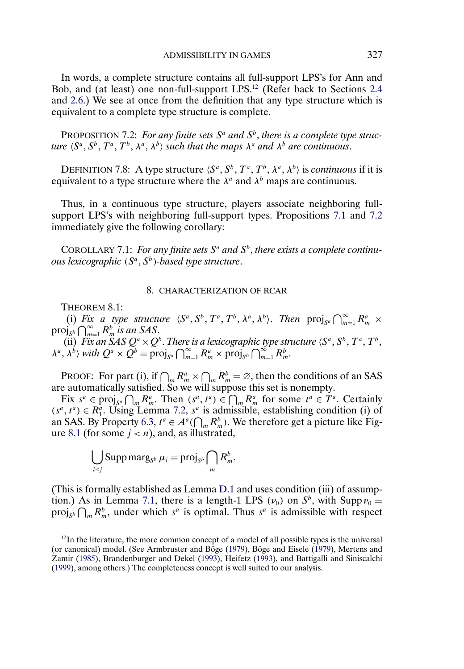<span id="page-21-0"></span>In words, a complete structure contains all full-support LPS's for Ann and Bob, and (at least) one non-full-support LPS.12 (Refer back to Sections [2.4](#page-7-0) and [2.6.](#page-9-0)) We see at once from the definition that any type structure which is equivalent to a complete type structure is complete.

PROPOSITION 7.2: *For any finite sets*  $S^a$  *and*  $S^b$ *, there is a complete type structure*  $\langle S^a, S^b, T^a, T^b, \lambda^a, \lambda^b \rangle$  *such that the maps*  $\lambda^a$  *and*  $\lambda^b$  *are continuous.* 

DEFINITION 7.8: A type structure  $\langle S^a, S^b, T^a, T^b, \lambda^a, \lambda^b \rangle$  is *continuous* if it is equivalent to a type structure where the  $\lambda^a$  and  $\lambda^b$  maps are continuous.

Thus, in a continuous type structure, players associate neighboring fullsupport LPS's with neighboring full-support types. Propositions [7.1](#page-20-0) and 7.2 immediately give the following corollary:

COROLLARY 7.1: *For any finite sets*  $S^a$  *and*  $S^b$ *, there exists a complete continuous lexicographic* (S<sup>a</sup>, S<sup>b</sup>)-based type structure.

#### 8. CHARACTERIZATION OF RCAR

#### THEOREM 8.1:

(i) *Fix a type structure*  $\langle S^a, S^b, T^a, T^b, \lambda^a, \lambda^b \rangle$ . *Then*  $\text{proj}_{S^a} \bigcap_{m=1}^{\infty} R_m^a \times$  $\operatorname{proj}_{S^b} \bigcap_{m=1}^{\infty} R_m^b$  *is an SAS*.

(ii) *Fix an SAS*  $Q^a \times Q^b$ . *There is a lexicographic type structure*  $\langle S^a, S^b, T^a, T^b, \lambda^a, \lambda^b \rangle$  *with*  $Q^a \times Q^b = \text{proj}_{S^a} \bigcap_{m=1}^{\infty} R_m^a \times \text{proj}_{S^b} \bigcap_{m=1}^{\infty} R_m^b$ .

PROOF: For part (i), if  $\bigcap_m R_m^a \times \bigcap_m R_m^b = \emptyset$ , then the conditions of an SAS are automatically satisfied. So we will suppose this set is nonempty.

Fix  $s^a \in \text{proj}_{S^a} \bigcap_m R_m^a$ . Then  $(s^a, t^a) \in \bigcap_m R_m^a$  for some  $t^a \in T^a$ . Certainly  $(s^a, t^a) \in R_1^a$ . Using Lemma [7.2,](#page-19-0)  $s^a$  is admissible, establishing condition (i) of an SAS. By Property [6.3,](#page-18-0)  $t^a \in A^a(\bigcap_m R_m^b)$ . We therefore get a picture like Fig-ure [8.1](#page-22-0) (for some  $j < n$ ), and, as illustrated,

$$
\bigcup_{i\leq j} \operatorname{Supp} \operatorname{marg}_{S^b} \mu_i = \operatorname{proj}_{S^b} \bigcap_m R^b_m.
$$

(This is formally established as Lemma [D.1](#page-35-0) and uses condition (iii) of assump-tion.) As in Lemma [7.1,](#page-19-0) there is a length-1 LPS ( $v_0$ ) on  $S^b$ , with Supp  $v_0 =$ proj<sub>s</sub><sub>b</sub>  $\bigcap_m R_m^b$ , under which s<sup>a</sup> is optimal. Thus s<sup>a</sup> is admissible with respect

 $12$ In the literature, the more common concept of a model of all possible types is the universal (or canonical) model. (See Armbruster and Böge [\(1979\)](#page-45-0), Böge and Eisele [\(1979\)](#page-45-0), Mertens and Zamir [\(1985\)](#page-46-0), Brandenburger and Dekel [\(1993\)](#page-45-0), Heifetz [\(1993\)](#page-45-0), and Battigalli and Siniscalchi [\(1999\)](#page-45-0), among others.) The completeness concept is well suited to our analysis.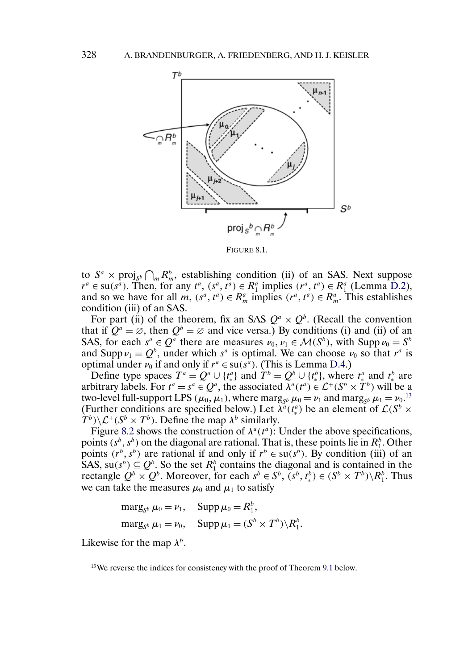<span id="page-22-0"></span>

FIGURE 8.1.

to  $S^a \times \text{proj}_{S^b} \bigcap_m R_m^b$ , establishing condition (ii) of an SAS. Next suppose  $r^a \in \text{su}(s^a)$ . Then, for any  $t^a$ ,  $(s^a, t^a) \in R_1^a$  implies  $(r^a, t^a) \in R_1^a$  (Lemma [D.2\)](#page-36-0), and so we have for all  $m$ ,  $(s^a, t^a) \in R_m^a$  implies  $(r^a, t^a) \in R_m^a$ . This establishes condition (iii) of an SAS.

For part (ii) of the theorem, fix an SAS  $Q^a \times Q^b$ . (Recall the convention that if  $Q^a = \emptyset$ , then  $Q^b = \emptyset$  and vice versa.) By conditions (i) and (ii) of an SAS, for each  $s^a \in Q^a$  there are measures  $\nu_0, \nu_1 \in \mathcal{M}(S^b)$ , with Supp  $\nu_0 = S^b$ and Supp  $\nu_1 = Q^b$ , under which s<sup>a</sup> is optimal. We can choose  $\nu_0$  so that  $r^a$  is optimal under  $\nu_0$  if and only if  $r^a \in su(s^a)$ . (This is Lemma [D.4.](#page-36-0))

Define type spaces  $T^a = Q^a \cup \{t_*^a\}$  and  $T^b = Q^b \cup \{t_*^b\}$ , where  $t_*^a$  and  $t_*^b$  are arbitrary labels. For  $t^a = s^a \in Q^a$ , the associated  $\lambda^a(t^a) \in \mathcal{L}^+(S^b \times T^b)$  will be a two-level full-support LPS  $(\mu_0, \mu_1)$ , where  $\text{marg}_{S^b} \mu_0 = \nu_1$  and  $\text{marg}_{S^b} \mu_1 = \nu_0$ .<sup>13</sup> (Further conditions are specified below.) Let  $\lambda^a(t^a_*)$  be an element of  $\mathcal{L}(S^b \times S^b)$ .  $(T^b)\setminus \mathcal{L}^+(S^b \times T^b)$ . Define the map  $\lambda^b$  similarly.

Figure [8.2](#page-23-0) shows the construction of  $\lambda^a(t^a)$ : Under the above specifications, points  $(s^b, s^b)$  on the diagonal are rational. That is, these points lie in  $R_1^b$ . Other points  $(r^b, s^b)$  are rational if and only if  $r^b \in su(s^b)$ . By condition (iii) of an SAS, su( $s^b$ )  $\subseteq Q^b$ . So the set  $R_1^b$  contains the diagonal and is contained in the rectangle  $Q^b \times Q^b$ . Moreover, for each  $s^b \in S^b$ ,  $(s^b, t_*^b) \in (S^b \times T^b) \backslash R_1^b$ . Thus we can take the measures  $\mu_0$  and  $\mu_1$  to satisfy

$$
\begin{aligned}\n\text{marg}_{S^b} \ \mu_0 &= \nu_1, \quad \text{Supp} \ \mu_0 = R_1^b, \\
\text{marg}_{S^b} \ \mu_1 &= \nu_0, \quad \text{Supp} \ \mu_1 = (S^b \times T^b) \backslash R_1^b.\n\end{aligned}
$$

Likewise for the map  $\lambda^b$ .

<sup>&</sup>lt;sup>13</sup>We reverse the indices for consistency with the proof of Theorem [9.1](#page-23-0) below.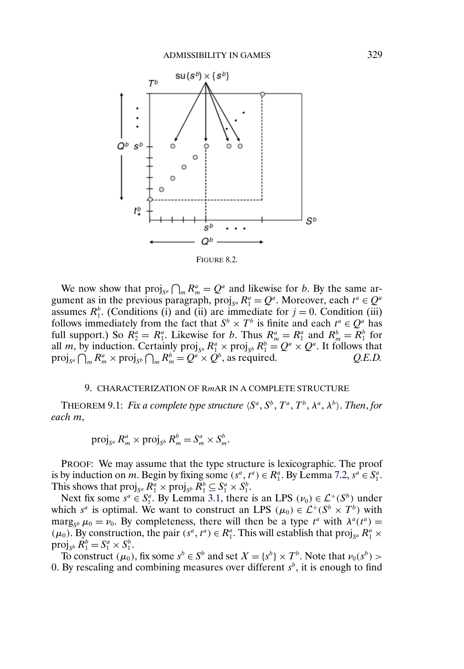<span id="page-23-0"></span>

We now show that  $proj_{S^a} \bigcap_m R_m^a = Q^a$  and likewise for b. By the same argument as in the previous paragraph,  $\text{proj}_{S^a} R_1^a = Q^a$ . Moreover, each  $t^a \in Q^a$ assumes  $R_1^b$ . (Conditions (i) and (ii) are immediate for  $j = 0$ . Condition (iii) follows immediately from the fact that  $S^b \times T^b$  is finite and each  $t^a \in Q^a$  has full support.) So  $R_2^a = R_1^a$ . Likewise for *b*. Thus  $R_m^a = R_1^a$  and  $R_m^b = R_1^b$  for all *m*, by induction. Certainly  $\text{proj}_{S^a} R_1^a \times \text{proj}_{S^b} R_1^b = Q^a \times Q^a$ . It follows that  $proj_{S^a} \bigcap_m R_m^a \times \text{proj}_{S^b} \bigcap_m R_m^b = Q^a \times Q^b$ , as required.  $Q.E.D.$ 

## 9. CHARACTERIZATION OF RmAR IN A COMPLETE STRUCTURE

THEOREM 9.1: *Fix a complete type structure*  $\langle S^a, S^b, T^a, T^b, \lambda^a, \lambda^b \rangle$ *. Then, for each* m,

$$
\operatorname{proj}_{S^a} R_m^a \times \operatorname{proj}_{S^b} R_m^b = S_m^a \times S_m^b.
$$

PROOF: We may assume that the type structure is lexicographic. The proof is by induction on *m*. Begin by fixing some  $(s^a, t^a) \in R_1^a$ . By Lemma [7.2,](#page-19-0)  $s^a \in S_1^a$ . This shows that  $\text{proj}_{S^a} R_1^a \times \text{proj}_{S^b} R_1^b \subseteq S_1^a \times S_1^b$ .

Next fix some  $s^a \in S_1^a$ . By Lemma [3.1,](#page-14-0) there is an LPS  $(\nu_0) \in \mathcal{L}^+(S^b)$  under which s<sup>a</sup> is optimal. We want to construct an LPS ( $\mu_0$ )  $\in$  L<sup>+</sup>(S<sup>b</sup>  $\times$  T<sup>b</sup>) with marg<sub>sb</sub>  $\mu_0 = \nu_0$ . By completeness, there will then be a type  $t^a$  with  $\lambda^a(t^a) =$  $(\mu_0)$ . By construction, the pair  $(s^a, t^a) \in R_1^a$ . This will establish that proj<sub>sa</sub>  $R_1^a \times$ proj<sub>s</sub><sub>b</sub> $R_1^b = S_1^a \times S_1^b$ .

To construct  $(\mu_0)$ , fix some  $s^b \in S^b$  and set  $X = \{s^b\} \times T^b$ . Note that  $\nu_0(s^b)$ 0. By rescaling and combining measures over different  $s^b$ , it is enough to find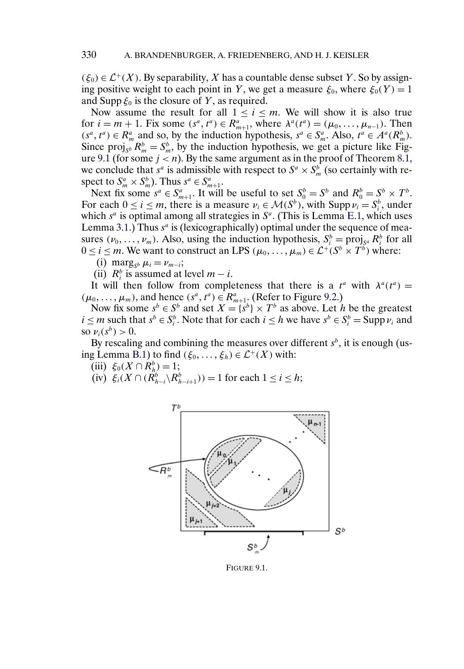$(\xi_0) \in \mathcal{L}^+(X)$ . By separability, X has a countable dense subset Y. So by assigning positive weight to each point in Y, we get a measure  $\xi_0$ , where  $\xi_0(Y) = 1$ and Supp  $\xi_0$  is the closure of Y, as required.

Now assume the result for all  $1 \le i \le m$ . We will show it is also true for  $i = m + 1$ . Fix some  $(s^a, t^a) \in R_{m+1}^a$ , where  $\lambda^a(t^a) = (\mu_0, \dots, \mu_{n-1})$ . Then  $(s^a, t^a) \in R_m^a$  and so, by the induction hypothesis,  $s^a \in S_m^a$ . Also,  $t^a \in A^a(R_m^b)$ . Since proj<sub>s</sub><sub>b</sub>  $R_m^b = S_m^b$ , by the induction hypothesis, we get a picture like Figure 9.1 (for some  $j < n$ ). By the same argument as in the proof of Theorem [8.1,](#page-21-0) we conclude that  $s^a$  is admissible with respect to  $S^a \times S_m^b$  (so certainly with respect to  $S_m^a \times S_m^b$ ). Thus  $s^a \in S_{m+1}^a$ .

Next fix some  $s^a \in S_{m+1}^a$ . It will be useful to set  $S_0^b = S^b$  and  $R_0^b = S^b \times T^b$ . For each  $0 \le i \le m$ , there is a measure  $\nu_i \in \mathcal{M}(S^b)$ , with Supp  $\nu_i = S^b_i$ , under which  $s^a$  is optimal among all strategies in  $S^a$ . (This is Lemma [E.1,](#page-40-0) which uses Lemma [3.1.](#page-14-0)) Thus  $s^a$  is (lexicographically) optimal under the sequence of measures  $(v_0, \ldots, v_m)$ . Also, using the induction hypothesis,  $S_i^b = \text{proj}_{S^a} R_i^b$  for all  $0 \le i \le m$ . We want to construct an LPS  $(\mu_0, \dots, \mu_m) \in \mathcal{L}^+(S^b \times T^b)$  where:

(i) marg<sub>Sb</sub>  $\mu_i = \nu_{m-i};$ 

(ii)  $R_i^b$  is assumed at level  $m - i$ .

It will then follow from completeness that there is a  $t^a$  with  $\lambda^a(t^a)$  =  $(\mu_0, \dots, \mu_m)$ , and hence  $(s^a, t^a) \in R^a_{m+1}$ . (Refer to Figure [9.2.](#page-25-0))

Now fix some  $s^b \in S^b$  and set  $X = \{s^b\} \times T^b$  as above. Let h be the greatest  $i \leq m$  such that  $s^b \in S_i^b$ . Note that for each  $i \leq h$  we have  $s^b \in S_i^b =$  Supp  $\nu_i$  and so  $\nu_i(s^b) > 0$ .

By rescaling and combining the measures over different  $s<sup>b</sup>$ , it is enough (us-ing Lemma [B.1\)](#page-32-0) to find  $(\xi_0, \ldots, \xi_h) \in \mathcal{L}^+(X)$  with:

(iii)  $\xi_0(X \cap R_h^b) = 1;$ 

(iv)  $\xi_i(X \cap (R_{h-i}^b \setminus R_{h-i+1}^b)) = 1$  for each  $1 \le i \le h$ ;



FIGURE 9.1.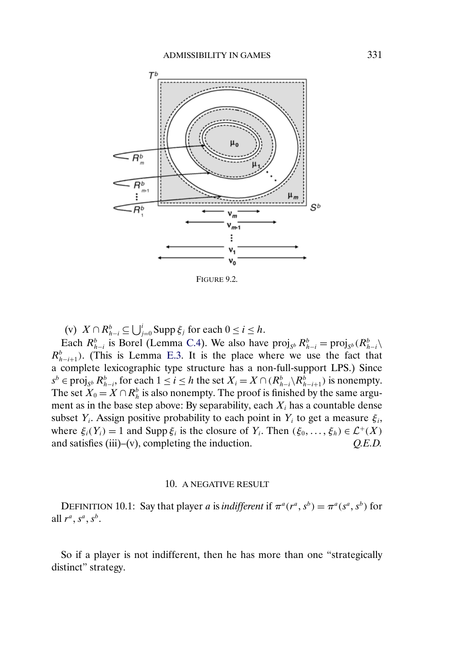<span id="page-25-0"></span>

FIGURE 9.2.

(v)  $X \cap R_{h-i}^b \subseteq \bigcup_{j=0}^i$  Supp  $\xi_j$  for each  $0 \le i \le h$ .

Each  $R_{h-i}^b$  is Borel (Lemma [C.4\)](#page-35-0). We also have  $\text{proj}_{S^b} R_{h-i}^b = \text{proj}_{S^b} (R_{h-i}^b)$  $R_{h-i+1}^b$ ). (This is Lemma [E.3.](#page-41-0) It is the place where we use the fact that a complete lexicographic type structure has a non-full-support LPS.) Since  $s^b$  ∈ proj<sub>s</sub><sub>b</sub>  $R_{h-i}^b$ , for each  $1 \le i \le h$  the set  $X_i = X \cap (R_{h-i}^b \setminus R_{h-i+1}^b)$  is nonempty. The set  $X_0 = X \cap R_h^b$  is also nonempty. The proof is finished by the same argument as in the base step above: By separability, each  $X_i$  has a countable dense subset  $Y_i$ . Assign positive probability to each point in  $Y_i$  to get a measure  $\xi_i$ , where  $\xi_i(Y_i) = 1$  and Supp  $\xi_i$  is the closure of  $Y_i$ . Then  $(\xi_0, \dots, \xi_h) \in \mathcal{L}^+(X)$ and satisfies (iii)–(v), completing the induction. *Q.E.D.*

#### 10. A NEGATIVE RESULT

DEFINITION 10.1: Say that player *a* is *indifferent* if  $\pi^a(r^a, s^b) = \pi^a(s^a, s^b)$  for all  $r^a$ ,  $s^a$ ,  $s^b$ .

So if a player is not indifferent, then he has more than one "strategically distinct" strategy.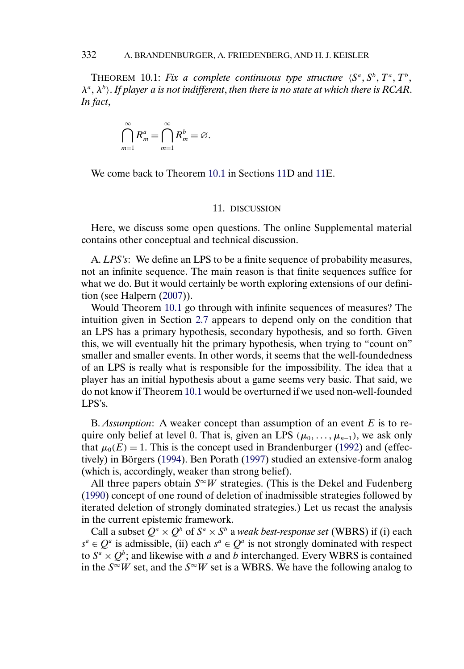<span id="page-26-0"></span>THEOREM 10.1: Fix a complete continuous type structure  $\langle S^a, S^b, T^a, T^b,$  $\lambda^a$ ,  $\lambda^b$ ). If player a is not indifferent, then there is no state at which there is RCAR. *In fact*,

$$
\bigcap_{m=1}^{\infty} R_m^a = \bigcap_{m=1}^{\infty} R_m^b = \varnothing.
$$

We come back to Theorem 10.1 in Sections 11D and 11E.

#### 11. DISCUSSION

Here, we discuss some open questions. The online Supplemental material contains other conceptual and technical discussion.

A. *LPS's*: We define an LPS to be a finite sequence of probability measures, not an infinite sequence. The main reason is that finite sequences suffice for what we do. But it would certainly be worth exploring extensions of our definition (see Halpern [\(2007\)](#page-45-0)).

Would Theorem 10.1 go through with infinite sequences of measures? The intuition given in Section [2.7](#page-11-0) appears to depend only on the condition that an LPS has a primary hypothesis, secondary hypothesis, and so forth. Given this, we will eventually hit the primary hypothesis, when trying to "count on" smaller and smaller events. In other words, it seems that the well-foundedness of an LPS is really what is responsible for the impossibility. The idea that a player has an initial hypothesis about a game seems very basic. That said, we do not know if Theorem 10.1 would be overturned if we used non-well-founded LPS's.

B. *Assumption*: A weaker concept than assumption of an event  $E$  is to require only belief at level 0. That is, given an LPS  $(\mu_0, \dots, \mu_{n-1})$ , we ask only that  $\mu_0(E) = 1$ . This is the concept used in Brandenburger [\(1992\)](#page-45-0) and (effectively) in Börgers [\(1994\)](#page-45-0). Ben Porath [\(1997\)](#page-45-0) studied an extensive-form analog (which is, accordingly, weaker than strong belief).

All three papers obtain  $S^{\infty}W$  strategies. (This is the Dekel and Fudenberg [\(1990\)](#page-45-0) concept of one round of deletion of inadmissible strategies followed by iterated deletion of strongly dominated strategies.) Let us recast the analysis in the current epistemic framework.

Call a subset  $Q^a \times Q^b$  of  $S^a \times S^b$  a *weak best-response set* (WBRS) if (i) each  $s^a \in Q^a$  is admissible, (ii) each  $s^a \in Q^a$  is not strongly dominated with respect to  $S^a \times Q^b$ ; and likewise with a and b interchanged. Every WBRS is contained in the  $S^{\infty}W$  set, and the  $S^{\infty}W$  set is a WBRS. We have the following analog to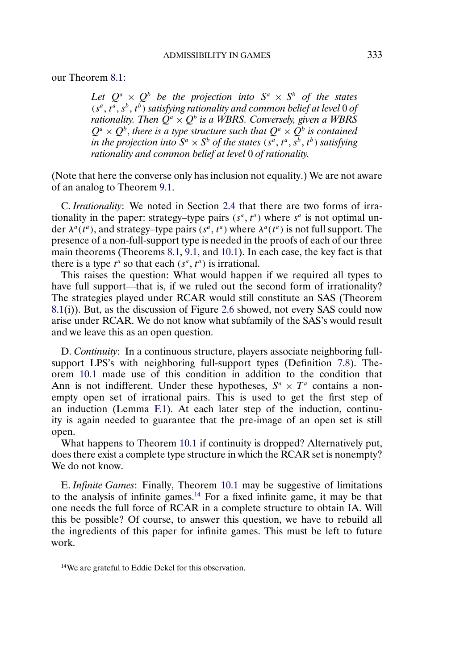our Theorem [8.1:](#page-21-0)

Let  $Q^a \times Q^b$  be the projection into  $S^a \times S^b$  of the states  $(s^a, t^a, s^b, t^b)$  *satisfying rationality and common belief at level* 0 *of rationality. Then*  $Q^a \times Q^b$  *is a WBRS. Conversely, given a WBRS*  $Q^a \times Q^b$ , *there is a type structure such that*  $Q^a \times Q^b$  *is contained* in the projection into  $S^a \times S^b$  of the states  $(s^a, t^a, s^b, t^b)$  satisfying *rationality and common belief at level* 0 *of rationality.*

(Note that here the converse only has inclusion not equality.) We are not aware of an analog to Theorem [9.1.](#page-23-0)

C. *Irrationality*: We noted in Section [2.4](#page-7-0) that there are two forms of irrationality in the paper: strategy–type pairs  $(s^a, t^a)$  where  $s^a$  is not optimal under  $\lambda^a(t^a)$ , and strategy–type pairs  $(s^a, t^a)$  where  $\lambda^a(t^a)$  is not full support. The presence of a non-full-support type is needed in the proofs of each of our three main theorems (Theorems [8.1,](#page-21-0) [9.1,](#page-23-0) and [10.1\)](#page-26-0). In each case, the key fact is that there is a type  $t^a$  so that each  $(s^a, t^a)$  is irrational.

This raises the question: What would happen if we required all types to have full support—that is, if we ruled out the second form of irrationality? The strategies played under RCAR would still constitute an SAS (Theorem [8.1\(](#page-21-0)i)). But, as the discussion of Figure [2.6](#page-7-0) showed, not every SAS could now arise under RCAR. We do not know what subfamily of the SAS's would result and we leave this as an open question.

D. *Continuity*: In a continuous structure, players associate neighboring fullsupport LPS's with neighboring full-support types (Definition [7.8\)](#page-21-0). Theorem [10.1](#page-26-0) made use of this condition in addition to the condition that Ann is not indifferent. Under these hypotheses,  $S^a \times T^a$  contains a nonempty open set of irrational pairs. This is used to get the first step of an induction (Lemma [F.1](#page-42-0)). At each later step of the induction, continuity is again needed to guarantee that the pre-image of an open set is still open.

What happens to Theorem [10.1](#page-26-0) if continuity is dropped? Alternatively put, does there exist a complete type structure in which the RCAR set is nonempty? We do not know.

E. *Infinite Games*: Finally, Theorem [10.1](#page-26-0) may be suggestive of limitations to the analysis of infinite games.<sup>14</sup> For a fixed infinite game, it may be that one needs the full force of RCAR in a complete structure to obtain IA. Will this be possible? Of course, to answer this question, we have to rebuild all the ingredients of this paper for infinite games. This must be left to future work.

14We are grateful to Eddie Dekel for this observation.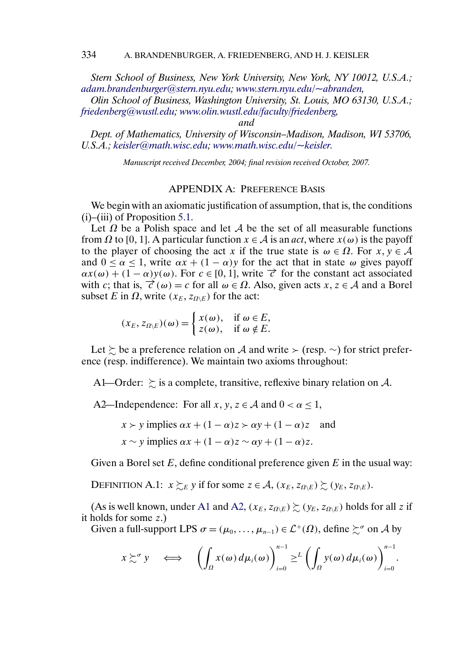<span id="page-28-0"></span>*Stern School of Business, New York University, New York, NY 10012, U.S.A.; [adam.brandenburger@stern.nyu.edu](mailto:adam.brandenburger@stern.nyu.edu); [www.stern.nyu.edu/~abranden,](http://www.stern.nyu.edu/~abranden)*

*Olin School of Business, Washington University, St. Louis, MO 63130, U.S.A.; [friedenberg@wustl.edu](mailto:friedenberg@wustl.edu); [www.olin.wustl.edu/faculty/friedenberg,](http://www.olin.wustl.edu/faculty/friedenberg)*

*and*

*Dept. of Mathematics, University of Wisconsin–Madison, Madison, WI 53706, U.S.A.; [keisler@math.wisc.edu](mailto:keisler@math.wisc.edu); [www.math.wisc.edu/~keisler.](http://www.math.wisc.edu/~keisler)*

*Manuscript received December, 2004; final revision received October, 2007.*

## APPENDIX A: PREFERENCE BASIS

We begin with an axiomatic justification of assumption, that is, the conditions  $(i)$ – $(iii)$  of Proposition [5.1.](#page-16-0)

Let  $\Omega$  be a Polish space and let  $\mathcal A$  be the set of all measurable functions from  $\Omega$  to [0, 1]. A particular function  $x \in \mathcal{A}$  is an *act*, where  $x(\omega)$  is the payoff to the player of choosing the act x if the true state is  $\omega \in \Omega$ . For  $x, y \in \mathcal{A}$ and  $0 \le \alpha \le 1$ , write  $\alpha x + (1 - \alpha)y$  for the act that in state  $\omega$  gives payoff  $\alpha x(\omega) + (1 - \alpha)y(\omega)$ . For  $c \in [0, 1]$ , write  $\vec{c}$  for the constant act associated with c; that is,  $\vec{\tau}(\omega) = c$  for all  $\omega \in \Omega$ . Also, given acts  $x, z \in \mathcal{A}$  and a Borel subset E in  $\Omega$ , write  $(x_E, z_{\Omega \setminus E})$  for the act:

$$
(x_E, z_{\Omega \setminus E})(\omega) = \begin{cases} x(\omega), & \text{if } \omega \in E, \\ z(\omega), & \text{if } \omega \notin E. \end{cases}
$$

Let  $\succsim$  be a preference relation on A and write  $\succ$  (resp.  $\sim$ ) for strict preference (resp. indifference). We maintain two axioms throughout:

A1—Order:  $\geq$  is a complete, transitive, reflexive binary relation on A.

A2—Independence: For all  $x, y, z \in A$  and  $0 < \alpha \le 1$ ,

 $x > y$  implies  $\alpha x + (1 - \alpha)z > \alpha y + (1 - \alpha)z$  and

 $x \sim y$  implies  $\alpha x + (1 - \alpha)z \sim \alpha y + (1 - \alpha)z$ .

Given a Borel set  $E$ , define conditional preference given  $E$  in the usual way:

DEFINITION A.1:  $x \succsim_E y$  if for some  $z \in A$ ,  $(x_E, z_{\Omega \setminus E}) \succsim (y_E, z_{\Omega \setminus E})$ .

(As is well known, under A1 and A2,  $(x_E, z_{\Omega \setminus E}) \succsim (y_E, z_{\Omega \setminus E})$  holds for all z if it holds for some z.)

Given a full-support LPS  $\sigma = (\mu_0, \dots, \mu_{n-1}) \in \mathcal{L}^+(\Omega)$ , define  $\succsim^{\sigma}$  on A by

$$
x \succsim^{\sigma} y \iff \left(\int_{\Omega} x(\omega) d\mu_i(\omega)\right)_{i=0}^{n-1} \geq^L \left(\int_{\Omega} y(\omega) d\mu_i(\omega)\right)_{i=0}^{n-1}.
$$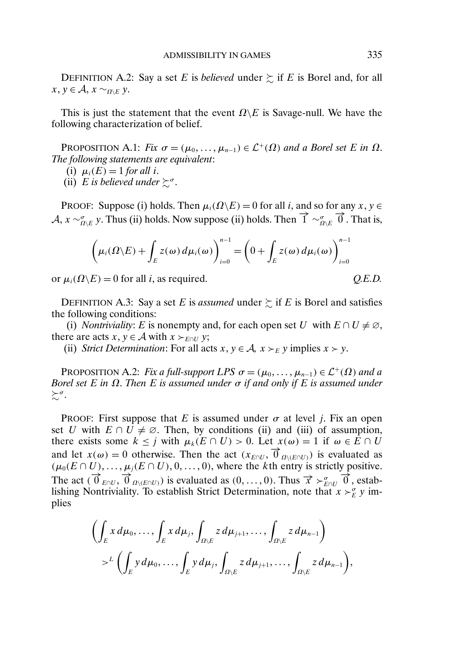<span id="page-29-0"></span>DEFINITION A.2: Say a set E is *believed* under  $\succsim$  if E is Borel and, for all  $x, y \in A$ ,  $x \sim_{\Omega \setminus E} y$ .

This is just the statement that the event  $\Omega \backslash E$  is Savage-null. We have the following characterization of belief.

PROPOSITION A.1: *Fix*  $\sigma = (\mu_0, \dots, \mu_{n-1}) \in \mathcal{L}^+(\Omega)$  and a Borel set *E* in  $\Omega$ . *The following statements are equivalent*:

(i)  $\mu_i(E) = 1$  *for all i.* 

(ii) *E* is believed under  $\succsim^{\sigma}$ .

PROOF: Suppose (i) holds. Then  $\mu_i(\Omega \backslash E) = 0$  for all *i*, and so for any  $x, y \in$ A,  $x \sim_{\Omega \setminus E}^{\sigma} y$ . Thus (ii) holds. Now suppose (ii) holds. Then  $\overrightarrow{1} \sim_{\Omega \setminus E}^{\sigma} \overrightarrow{0}$ . That is,

$$
\left(\mu_i(\Omega\backslash E)+\int_E z(\omega)\,d\mu_i(\omega)\right)_{i=0}^{n-1}=\left(0+\int_E z(\omega)\,d\mu_i(\omega)\right)_{i=0}^{n-1}
$$

or  $\mu_i(\Omega \backslash E) = 0$  for all *i*, as required.

DEFINITION A.3: Say a set E is *assumed* under  $\succsim$  if E is Borel and satisfies the following conditions:

(i) *Nontriviality*: *E* is nonempty and, for each open set U with  $E \cap U \neq \emptyset$ , there are acts  $x, y \in A$  with  $x \succ_{E \cap U} y$ ;

(ii) *Strict Determination*: For all acts  $x, y \in A$ ,  $x \succ_E y$  implies  $x \succ y$ .

PROPOSITION A.2: *Fix a full-support LPS*  $\sigma = (\mu_0, ..., \mu_{n-1}) \in \mathcal{L}^+(\Omega)$  *and a Borel set* E *in* Ω. *Then* E *is assumed under* σ *if and only if* E *is assumed under*  $\succsim^{\sigma}$ .

PROOF: First suppose that E is assumed under  $\sigma$  at level j. Fix an open set U with  $E \cap U \neq \emptyset$ . Then, by conditions (ii) and (iii) of assumption, there exists some  $k \leq j$  with  $\mu_k(E \cap U) > 0$ . Let  $x(\omega) = 1$  if  $\omega \in \mathring{E} \cap U$ and let  $x(\omega) = 0$  otherwise. Then the act  $(x_{E\cap U}, \overrightarrow{0}_{\Omega\setminus(E\cap U)})$  is evaluated as  $(\mu_0(E \cap U), \dots, \mu_j(E \cap U), 0, \dots, 0)$ , where the kth entry is strictly positive. The act  $(\vec{0}_{E\cap U}, \vec{0}_{\Omega\setminus (E\cap U)})$  is evaluated as  $(0, \ldots, 0)$ . Thus  $\vec{x} >_{E\cap U}^{\sigma} \vec{0}$ , establishing Nontriviality. To establish Strict Determination, note that  $x \succ_E^{\sigma} y$  implies

$$
\left(\int_E x d\mu_0,\ldots,\int_E x d\mu_j,\int_{\Omega\setminus E} z d\mu_{j+1},\ldots,\int_{\Omega\setminus E} z d\mu_{n-1}\right)\\>^L\left(\int_E y d\mu_0,\ldots,\int_E y d\mu_j,\int_{\Omega\setminus E} z d\mu_{j+1},\ldots,\int_{\Omega\setminus E} z d\mu_{n-1}\right),\right.
$$

$$
O.E.D.
$$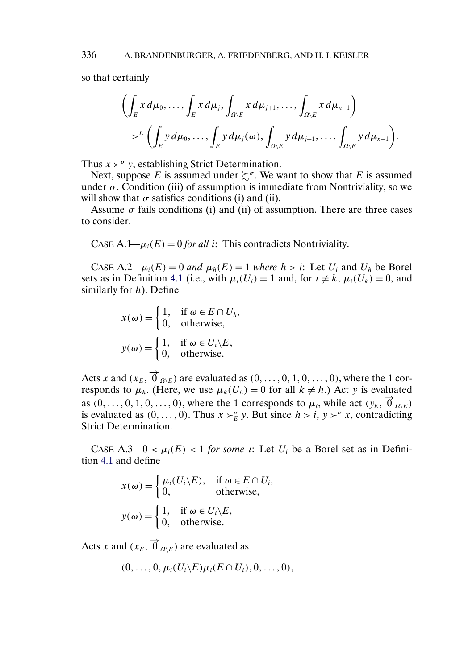so that certainly

$$
\left(\int_E x d\mu_0,\ldots,\int_E x d\mu_j,\int_{\Omega\setminus E} x d\mu_{j+1},\ldots,\int_{\Omega\setminus E} x d\mu_{n-1}\right) \\\quad>\n>^L \left(\int_E y d\mu_0,\ldots,\int_E y d\mu_j(\omega),\int_{\Omega\setminus E} y d\mu_{j+1},\ldots,\int_{\Omega\setminus E} y d\mu_{n-1}\right).
$$

Thus  $x \succ^{\sigma} y$ , establishing Strict Determination.

Next, suppose E is assumed under  $\succsim^{\sigma}$ . We want to show that E is assumed under  $\sigma$ . Condition (iii) of assumption is immediate from Nontriviality, so we will show that  $\sigma$  satisfies conditions (i) and (ii).

Assume  $\sigma$  fails conditions (i) and (ii) of assumption. There are three cases to consider.

CASE A.1— $\mu_i(E) = 0$  *for all i*: This contradicts Nontriviality.

CASE A.2— $\mu_i(E) = 0$  *and*  $\mu_h(E) = 1$  *where*  $h > i$ : Let  $U_i$  and  $U_h$  be Borel sets as in Definition [4.1](#page-15-0) (i.e., with  $\mu_i(U_i) = 1$  and, for  $i \neq k$ ,  $\mu_i(U_k) = 0$ , and similarly for  $h$ ). Define

$$
x(\omega) = \begin{cases} 1, & \text{if } \omega \in E \cap U_h, \\ 0, & \text{otherwise,} \end{cases}
$$

$$
y(\omega) = \begin{cases} 1, & \text{if } \omega \in U_i \backslash E, \\ 0, & \text{otherwise.} \end{cases}
$$

Acts x and  $(x_E, \overrightarrow{0}_{\Omega \setminus E})$  are evaluated as  $(0, \ldots, 0, 1, 0, \ldots, 0)$ , where the 1 corresponds to  $\mu_h$ . (Here, we use  $\mu_k(U_h) = 0$  for all  $k \neq h$ .) Act y is evaluated as  $(0, \ldots, 0, 1, 0, \ldots, 0)$ , where the 1 corresponds to  $\mu_i$ , while act  $(y_E, \vec{\theta}_{\Omega_E})$ is evaluated as  $(0, \ldots, 0)$ . Thus  $x \succ_E^{\sigma} y$ . But since  $h > i$ ,  $y \succ^{\sigma} x$ , contradicting Strict Determination.

CASE A.3— $0 < \mu_i(E) < 1$  *for some i*: Let  $U_i$  be a Borel set as in Definition [4.1](#page-15-0) and define

$$
x(\omega) = \begin{cases} \mu_i(U_i \setminus E), & \text{if } \omega \in E \cap U_i, \\ 0, & \text{otherwise,} \end{cases}
$$

$$
y(\omega) = \begin{cases} 1, & \text{if } \omega \in U_i \setminus E, \\ 0, & \text{otherwise.} \end{cases}
$$

Acts x and  $(x_E, \overrightarrow{0}_{\Omega \setminus E})$  are evaluated as

$$
(0,\ldots,0,\mu_i(U_i\backslash E)\mu_i(E\cap U_i),0,\ldots,0),
$$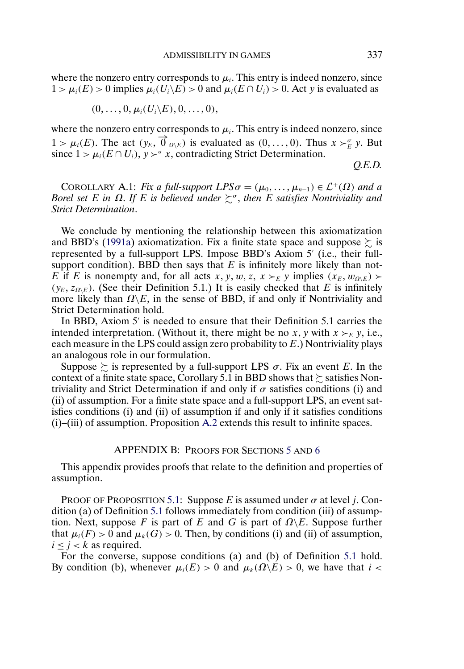where the nonzero entry corresponds to  $\mu_i$ . This entry is indeed nonzero, since  $1 > \mu_i(E) > 0$  implies  $\mu_i(U_i \backslash E) > 0$  and  $\mu_i(E \cap U_i) > 0$ . Act y is evaluated as

$$
(0,\ldots,0,\mu_i(U_i\backslash E),0,\ldots,0),
$$

where the nonzero entry corresponds to  $\mu_i$ . This entry is indeed nonzero, since  $1 > \mu_i(E)$ . The act  $(y_E, \overrightarrow{0}_{\Omega \setminus E})$  is evaluated as  $(0, \ldots, 0)$ . Thus  $x \succ_E^e y$ . But since  $1 > \mu_i(E \cap U_i)$ ,  $y > \sigma x$ , contradicting Strict Determination.

*Q.E.D.*

COROLLARY A.1: *Fix a full-support LPS* $\sigma = (\mu_0, ..., \mu_{n-1}) \in \mathcal{L}^+(\Omega)$  and a *Borel set E in Ω. If E is believed under*  $\succsim$ <sup>*σ*</sup>, then *E satisfies Nontriviality and Strict Determination*.

We conclude by mentioning the relationship between this axiomatization and BBD's [\(1991a\)](#page-45-0) axiomatization. Fix a finite state space and suppose  $\succsim$  is represented by a full-support LPS. Impose BBD's Axiom 5' (i.e., their fullsupport condition). BBD then says that  $E$  is infinitely more likely than not-E if E is nonempty and, for all acts  $x, y, w, z, x \succ_E y$  implies  $(x_E, w_{\Omega \setminus E})$  $(y_E, z_{\Omega \setminus E})$ . (See their Definition 5.1.) It is easily checked that E is infinitely more likely than  $\Omega \backslash E$ , in the sense of BBD, if and only if Nontriviality and Strict Determination hold.

In BBD, Axiom 5' is needed to ensure that their Definition 5.1 carries the intended interpretation. (Without it, there might be no x, y with  $x \succ_E y$ , i.e., each measure in the LPS could assign zero probability to  $E$ .) Nontriviality plays an analogous role in our formulation.

Suppose  $\succsim$  is represented by a full-support LPS  $\sigma$ . Fix an event E. In the context of a finite state space, Corollary 5.1 in BBD shows that  $\succsim$  satisfies Nontriviality and Strict Determination if and only if  $\sigma$  satisfies conditions (i) and (ii) of assumption. For a finite state space and a full-support LPS, an event satisfies conditions (i) and (ii) of assumption if and only if it satisfies conditions (i)–(iii) of assumption. Proposition [A.2](#page-29-0) extends this result to infinite spaces.

#### APPENDIX B: PROOFS FOR SECTIONS [5](#page-15-0) AND [6](#page-17-0)

This appendix provides proofs that relate to the definition and properties of assumption.

PROOF OF PROPOSITION [5.1:](#page-16-0) Suppose E is assumed under  $\sigma$  at level *j*. Condition (a) of Definition [5.1](#page-16-0) follows immediately from condition (iii) of assumption. Next, suppose F is part of E and G is part of  $\Omega \backslash E$ . Suppose further that  $\mu_i(F) > 0$  and  $\mu_k(G) > 0$ . Then, by conditions (i) and (ii) of assumption,  $i \leq j < k$  as required.

For the converse, suppose conditions (a) and (b) of Definition [5.1](#page-16-0) hold. By condition (b), whenever  $\mu_i(E) > 0$  and  $\mu_k(\Omega \backslash E) > 0$ , we have that  $i <$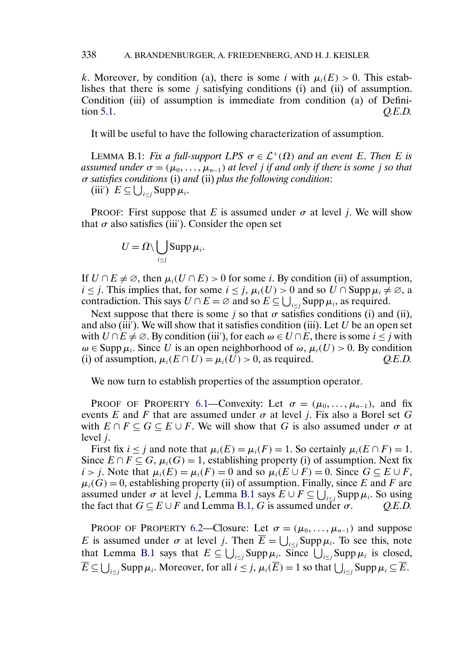<span id="page-32-0"></span>k. Moreover, by condition (a), there is some i with  $\mu_i(E) > 0$ . This establishes that there is some  $j$  satisfying conditions (i) and (ii) of assumption. Condition (iii) of assumption is immediate from condition (a) of Definition [5.1.](#page-16-0) *Q.E.D.*

It will be useful to have the following characterization of assumption.

LEMMA B.1: *Fix a full-support LPS*  $\sigma \in \mathcal{L}^+(\Omega)$  *and an event E. Then E is*  $a$ ssumed under  $\sigma = (\mu_0, \dots, \mu_{n-1})$  at level j if and only if there is some j so that σ *satisfies conditions* (i) *and* (ii) *plus the following condition*:

(iii')  $E \subseteq \bigcup_{i \leq j} \mathrm{Supp} \mu_i$ .

PROOF: First suppose that E is assumed under  $\sigma$  at level j. We will show that  $\sigma$  also satisfies (iii'). Consider the open set

$$
U = \Omega \setminus \bigcup_{i \leq j} \operatorname{Supp} \mu_i.
$$

If  $U \cap E \neq \emptyset$ , then  $\mu_i(U \cap E) > 0$  for some *i*. By condition (ii) of assumption,  $i \leq j$ . This implies that, for some  $i \leq j$ ,  $\mu_i(U) > 0$  and so  $U \cap \text{Supp}\,\mu_i \neq \emptyset$ , a contradiction. This says  $U \cap E = \emptyset$  and so  $E \subseteq \bigcup_{i \leq j} \text{Supp}\,\mu_i$ , as required.

Next suppose that there is some j so that  $\sigma$  satisfies conditions (i) and (ii), and also (iii'). We will show that it satisfies condition (iii). Let  $U$  be an open set with  $U \cap E \neq \emptyset$ . By condition (iii'), for each  $\omega \in U \cap E$ , there is some  $i \leq j$  with  $\omega \in \text{Supp}\,\mu_i$ . Since U is an open neighborhood of  $\omega$ ,  $\mu_i(U) > 0$ . By condition (i) of assumption,  $\mu_i(E \cap U) = \mu_i(U) > 0$ , as required.  $Q.E.D.$ 

We now turn to establish properties of the assumption operator.

PROOF OF PROPERTY [6.1—](#page-17-0)Convexity: Let  $\sigma = (\mu_0, \dots, \mu_{n-1})$ , and fix events E and F that are assumed under  $\sigma$  at level j. Fix also a Borel set G with  $E \cap F \subseteq G \subseteq E \cup F$ . We will show that G is also assumed under  $\sigma$  at level j.

First fix  $i \leq j$  and note that  $\mu_i(E) = \mu_i(F) = 1$ . So certainly  $\mu_i(E \cap F) = 1$ . Since  $E \cap F \subseteq G$ ,  $\mu_i(G) = 1$ , establishing property (i) of assumption. Next fix  $i>j$ . Note that  $\mu_i(E) = \mu_i(F) = 0$  and so  $\mu_i(E \cup F) = 0$ . Since  $G \subseteq E \cup F$ ,  $\mu_i(G) = 0$ , establishing property (ii) of assumption. Finally, since E and F are assumed under  $\sigma$  at level j, Lemma B.1 says  $E \cup F \subseteq \bigcup_{i \leq j} \text{Supp}\,\mu_i$ . So using the fact that  $G \subseteq E \cup F$  and Lemma B.1, G is assumed under  $\sigma$ . Q.E.D.

PROOF OF PROPERTY [6.2—](#page-17-0)Closure: Let  $\sigma = (\mu_0, \dots, \mu_{n-1})$  and suppose E is assumed under  $\sigma$  at level j. Then  $\overline{E} = \bigcup_{i \leq j} \text{Supp}\,\mu_i$ . To see this, note that Lemma B.1 says that  $E \subseteq \bigcup_{i \leq j} \text{Supp}\,\mu_i$ . Since  $\bigcup_{i \leq j} \text{Supp}\,\mu_i$  is closed,  $\overline{E}\subseteq \bigcup_{i\leq j} \mathop{\rm Supp} \mu_i.$  Moreover, for all  $i\leq j,$   $\mu_i(\overline{E})=1$  so that  $\bigcup_{i\leq j} \mathop{\rm Supp} \mu_i\subseteq \overline{E}.$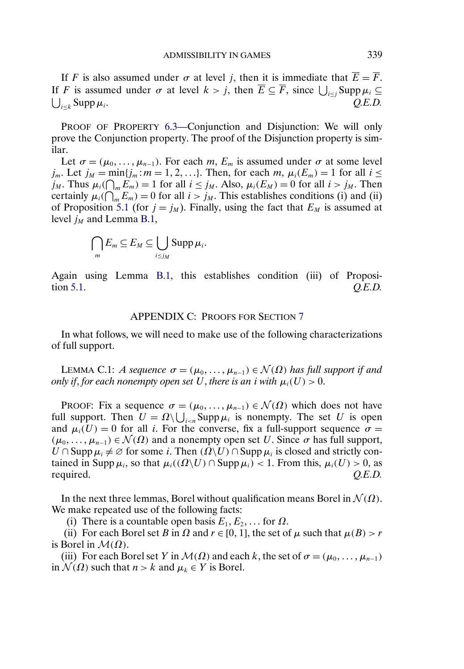<span id="page-33-0"></span>If F is also assumed under  $\sigma$  at level j, then it is immediate that  $\overline{E} = \overline{F}$ . If F is assumed under  $\sigma$  at level  $k > j$ , then  $\overline{E} \subseteq \overline{F}$ , since  $\bigcup_{i \leq j} \text{Supp}\,\mu_i \subseteq$  $\bigcup_{i\leq k}$  Supp  $\mu_i$ .  $Q.E.D.$ 

PROOF OF PROPERTY [6.3—](#page-18-0)Conjunction and Disjunction: We will only prove the Conjunction property. The proof of the Disjunction property is similar.

Let  $\sigma = (\mu_0, \dots, \mu_{n-1})$ . For each m,  $E_m$  is assumed under  $\sigma$  at some level  $j_m$ . Let  $j_M = \min\{j_m : m = 1, 2, \ldots\}$ . Then, for each  $m, \mu_i(E_m) = 1$  for all  $i \leq$  $j_M$ . Thus  $\mu_i(\bigcap_m \tilde{E}_m) = 1$  for all  $i \le j_M$ . Also,  $\mu_i(E_M) = 0$  for all  $i > j_M$ . Then certainly  $\mu_i(\bigcap_{m=1}^{m} E_m) = 0$  for all  $i > j_M$ . This establishes conditions (i) and (ii) of Proposition [5.1](#page-16-0) (for  $j = j<sub>M</sub>$ ). Finally, using the fact that  $E<sub>M</sub>$  is assumed at level  $j_M$  and Lemma [B.1,](#page-32-0)

$$
\bigcap_{m} E_m \subseteq E_M \subseteq \bigcup_{i \le j_M} \operatorname{Supp} \mu_i.
$$

Again using Lemma [B.1,](#page-32-0) this establishes condition (iii) of Proposition [5.1.](#page-16-0) *Q.E.D.*

## APPENDIX C: PROOFS FOR SECTION [7](#page-18-0)

In what follows, we will need to make use of the following characterizations of full support.

LEMMA C.1: *A sequence*  $\sigma = (\mu_0, \dots, \mu_{n-1}) \in \mathcal{N}(\Omega)$  has full support if and *only if, for each nonempty open set* U, *there is an i with*  $\mu_i(U) > 0$ .

PROOF: Fix a sequence  $\sigma = (\mu_0, ..., \mu_{n-1}) \in \mathcal{N}(\Omega)$  which does not have full support. Then  $U = \Omega \setminus \bigcup_{i \leq n} \text{Supp }\mu_i$  is nonempty. The set U is open and  $\mu_i(U) = 0$  for all i. For the converse, fix a full-support sequence  $\sigma =$  $(\mu_0, \dots, \mu_{n-1}) \in \mathcal{N}(\Omega)$  and a nonempty open set U. Since  $\sigma$  has full support,  $U \cap \text{Supp}\,\mu_i \neq \emptyset$  for some i. Then  $(\Omega \backslash U) \cap \text{Supp}\,\mu_i$  is closed and strictly contained in Supp  $\mu_i$ , so that  $\mu_i((\Omega \backslash U) \cap \text{Supp}\,\mu_i) < 1$ . From this,  $\mu_i(U) > 0$ , as required. *Q.E.D.*

In the next three lemmas, Borel without qualification means Borel in  $\mathcal{N}(\Omega)$ . We make repeated use of the following facts:

(i) There is a countable open basis  $E_1, E_2, \ldots$  for  $\Omega$ .

(ii) For each Borel set B in  $\Omega$  and  $r \in [0, 1]$ , the set of  $\mu$  such that  $\mu(B) > r$ is Borel in  $\mathcal{M}(\Omega)$ .

(iii) For each Borel set Y in  $\mathcal{M}(\Omega)$  and each k, the set of  $\sigma = (\mu_0, \dots, \mu_{n-1})$ in  $\mathcal{N}(\Omega)$  such that  $n > k$  and  $\mu_k \in Y$  is Borel.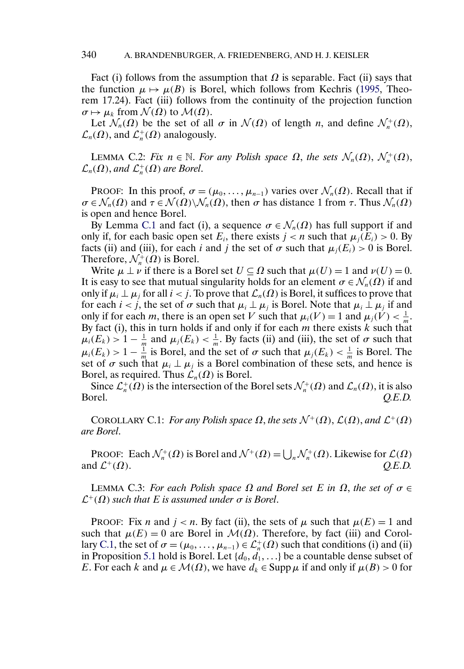<span id="page-34-0"></span>Fact (i) follows from the assumption that  $\Omega$  is separable. Fact (ii) says that the function  $\mu \mapsto \mu(B)$  is Borel, which follows from Kechris [\(1995,](#page-46-0) Theorem 17.24). Fact (iii) follows from the continuity of the projection function  $\sigma \mapsto \mu_k$  from  $\mathcal{N}(\Omega)$  to  $\mathcal{M}(\Omega)$ .

Let  $\mathcal{N}_n(\Omega)$  be the set of all  $\sigma$  in  $\mathcal{N}(\Omega)$  of length *n*, and define  $\mathcal{N}_n^+(\Omega)$ ,  $\mathcal{L}_n(\Omega)$ , and  $\mathcal{L}_n^+(\Omega)$  analogously.

LEMMA C.2: *Fix*  $n \in \mathbb{N}$ . *For any Polish space*  $\Omega$ , *the sets*  $\mathcal{N}_n(\Omega)$ ,  $\mathcal{N}_n^+(\Omega)$ ,  $\mathcal{L}_n(\Omega)$ , and  $\mathcal{L}_n^+(\Omega)$  are Borel.

PROOF: In this proof,  $\sigma = (\mu_0, \dots, \mu_{n-1})$  varies over  $\mathcal{N}_n(\Omega)$ . Recall that if  $\sigma \in \mathcal{N}_n(\Omega)$  and  $\tau \in \mathcal{N}(\Omega) \backslash \mathcal{N}_n(\Omega)$ , then  $\sigma$  has distance 1 from  $\tau$ . Thus  $\mathcal{N}_n(\Omega)$ is open and hence Borel.

By Lemma [C.1](#page-33-0) and fact (i), a sequence  $\sigma \in \mathcal{N}_n(\Omega)$  has full support if and only if, for each basic open set  $E_i$ , there exists  $j < n$  such that  $\mu_i(E_i) > 0$ . By facts (ii) and (iii), for each i and j the set of  $\sigma$  such that  $\mu_i(E_i) > 0$  is Borel. Therefore,  $\mathcal{N}_n^+(\Omega)$  is Borel.

Write  $\mu \perp \nu$  if there is a Borel set  $U \subseteq \Omega$  such that  $\mu(U) = 1$  and  $\nu(U) = 0$ . It is easy to see that mutual singularity holds for an element  $\sigma \in \mathcal{N}_n(\Omega)$  if and only if  $\mu_i \perp \mu_j$  for all  $i < j$ . To prove that  $\mathcal{L}_n(\Omega)$  is Borel, it suffices to prove that for each  $i < j$ , the set of  $\sigma$  such that  $\mu_i \perp \mu_j$  is Borel. Note that  $\mu_i \perp \mu_j$  if and only if for each m, there is an open set V such that  $\mu_i(V) = 1$  and  $\mu_j(V) < \frac{1}{m}$ . By fact (i), this in turn holds if and only if for each  $m$  there exists  $k$  such that  $\mu_i(E_k) > 1 - \frac{1}{m}$  and  $\mu_j(E_k) < \frac{1}{m}$ . By facts (ii) and (iii), the set of  $\sigma$  such that  $\mu_i(E_k) > 1 - \frac{1}{m}$  is Borel, and the set of  $\sigma$  such that  $\mu_j(E_k) < \frac{1}{m}$  is Borel. The set of  $\sigma$  such that  $\mu_i \perp \mu_j$  is a Borel combination of these sets, and hence is Borel, as required. Thus  $\mathcal{L}_n(\Omega)$  is Borel.

Since  $\mathcal{L}_n^+(\Omega)$  is the intersection of the Borel sets  $\mathcal{N}_n^+(\Omega)$  and  $\mathcal{L}_n(\Omega)$ , it is also Borel.  $Q.E.D.$ 

COROLLARY C.1: *For any Polish space*  $\Omega$ , *the sets*  $\mathcal{N}^+(\Omega)$ ,  $\mathcal{L}(\Omega)$ , *and*  $\mathcal{L}^+(\Omega)$ *are Borel*.

PROOF: Each  $\mathcal{N}_n^+(\Omega)$  is Borel and  $\mathcal{N}^+(\Omega) = \bigcup_n \mathcal{N}_n^+(\Omega)$ . Likewise for  $\mathcal{L}(\Omega)$ and  $\mathcal{L}^+(\Omega)$ .  $Q.E.D.$ 

LEMMA C.3: *For each Polish space* Ω *and Borel set* E *in* Ω, *the set of* σ ∈  $\mathcal{L}^+(\Omega)$  *such that* E *is assumed under*  $\sigma$  *is Borel.* 

PROOF: Fix n and  $j < n$ . By fact (ii), the sets of  $\mu$  such that  $\mu(E) = 1$  and such that  $\mu(E) = 0$  are Borel in  $\mathcal{M}(\Omega)$ . Therefore, by fact (iii) and Corollary C.1, the set of  $\sigma = (\mu_0, \dots, \mu_{n-1}) \in \mathcal{L}_n^+(\Omega)$  such that conditions (i) and (ii) in Proposition [5.1](#page-16-0) hold is Borel. Let  $\{d_0, d_1, ...\}$  be a countable dense subset of E. For each k and  $\mu \in \mathcal{M}(\Omega)$ , we have  $d_k \in \text{Supp}\,\mu$  if and only if  $\mu(B) > 0$  for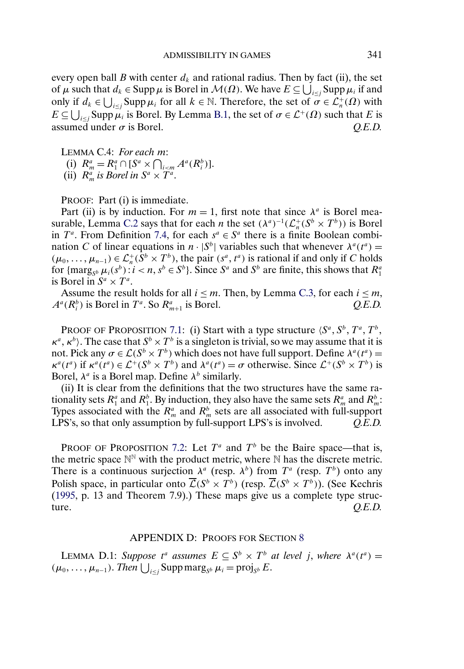<span id="page-35-0"></span>every open ball B with center  $d_k$  and rational radius. Then by fact (ii), the set of  $\mu$  such that  $d_k \in \text{Supp }\mu$  is Borel in  $\mathcal{M}(\Omega)$ . We have  $E \subseteq \bigcup_{i \leq j} \text{Supp }\mu_i$  if and only if  $d_k \in \bigcup_{i \leq j} \text{Supp } \mu_i$  for all  $k \in \mathbb{N}$ . Therefore, the set of  $\sigma \in \mathcal{L}_n^+(\Omega)$  with  $E \subseteq \bigcup_{i \leq j} \text{Supp } \overline{\mu}_i$  is Borel. By Lemma [B.1,](#page-32-0) the set of  $\sigma \in \mathcal{L}^+(\Omega)$  such that E is  $\alpha$  assumed under  $\sigma$  is Borel.  $Q.E.D.$ 

LEMMA C.4: *For each* m: (i)  $R_m^a = R_1^a \cap [S^a \times \bigcap_{i < m} A^a(R_i^b)].$ 

(ii)  $R_m^a$  *is Borel in*  $S^a \times T^a$ .

PROOF: Part (i) is immediate.

Part (ii) is by induction. For  $m = 1$ , first note that since  $\lambda^a$  is Borel mea-surable, Lemma [C.2](#page-34-0) says that for each n the set  $(\lambda^a)^{-1}(\mathcal{L}_n^+(S^b \times T^b))$  is Borel in  $T^a$ . From Definition [7.4,](#page-19-0) for each  $s^a \in S^a$  there is a finite Boolean combination C of linear equations in  $n \cdot |S^b|$  variables such that whenever  $\lambda^a(t^a)$  =  $(\mu_0, \dots, \mu_{n-1}) \in \mathcal{L}_n^+(S^b \times T^b)$ , the pair  $(s^a, t^a)$  is rational if and only if C holds for  $\{\text{marg}_{S^b} \mu_i(s^b) : i < n, s^b \in S^b\}$ . Since  $S^a$  and  $S^b$  are finite, this shows that  $R_1^a$ is Borel in  $S^a \times T^a$ .

Assume the result holds for all  $i \leq m$ . Then, by Lemma [C.3,](#page-34-0) for each  $i \leq m$ ,  $A^a(R_i^b)$  is Borel in  $T^a$ . So  $R_{m+1}^a$  is Borel. *Q.E.D. Q.E.D.* 

PROOF OF PROPOSITION [7.1:](#page-20-0) (i) Start with a type structure  $\langle S^a, S^b, T^a, T^b, \rangle$  $\kappa^a$ ,  $\kappa^b$ ). The case that  $S^b \times T^b$  is a singleton is trivial, so we may assume that it is not. Pick any  $\sigma \in \mathcal{L}(S^b \times T^b)$  which does not have full support. Define  $\lambda^a(t^a)$  =  $\kappa^a(t^a)$  if  $\kappa^a(t^a) \in \mathcal{L}^+(S^b \times T^b)$  and  $\lambda^a(t^a) = \sigma$  otherwise. Since  $\mathcal{L}^+(S^b \times T^b)$  is Borel,  $\lambda^a$  is a Borel map. Define  $\lambda^b$  similarly.

(ii) It is clear from the definitions that the two structures have the same rationality sets  $R_1^a$  and  $R_1^b$ . By induction, they also have the same sets  $R_m^a$  and  $R_m^b$ . Types associated with the  $R_m^a$  and  $R_m^b$  sets are all associated with full-support LPS's, so that only assumption by full-support LPS's is involved. *Q.E.D.*

PROOF OF PROPOSITION [7.2:](#page-21-0) Let  $T^a$  and  $T^b$  be the Baire space—that is, the metric space  $\mathbb{N}^{\mathbb{N}}$  with the product metric, where  $\mathbb N$  has the discrete metric. There is a continuous surjection  $\lambda^a$  (resp.  $\lambda^b$ ) from  $T^a$  (resp.  $T^b$ ) onto any Polish space, in particular onto  $\overline{\mathcal{L}}(S^b \times T^b)$  (resp.  $\overline{\mathcal{L}}(S^b \times T^b)$ ). (See Kechris [\(1995,](#page-46-0) p. 13 and Theorem 7.9).) These maps give us a complete type structure. *Q.E.D.*

#### APPENDIX D: PROOFS FOR SECTION [8](#page-21-0)

LEMMA D.1: *Suppose*  $t^a$  *assumes*  $E \subseteq S^b \times T^b$  *at level j*, *where*  $\lambda^a(t^a)$  =  $(\mu_0, \ldots, \mu_{n-1})$ . *Then*  $\bigcup_{i \leq j}$  Supp marg<sub>s</sub> $\mu_i = \text{proj}_{S^b} E$ .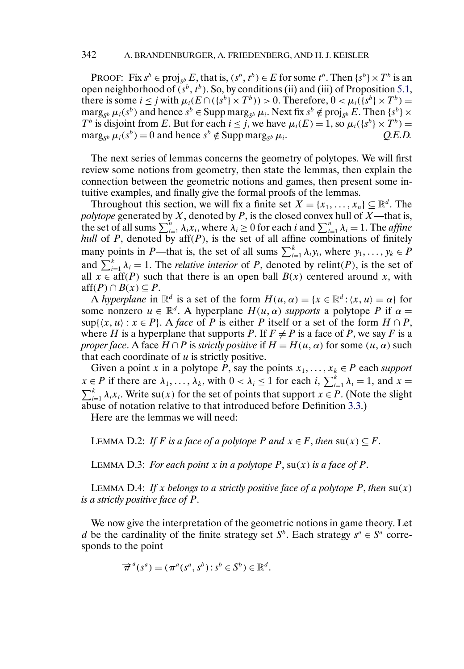<span id="page-36-0"></span>PROOF: Fix  $s^b \in \text{proj}_{S^b} E$ , that is,  $(s^b, t^b) \in E$  for some  $t^b$ . Then  $\{s^b\} \times T^b$  is an open neighborhood of  $(s^b, t^b)$ . So, by conditions (ii) and (iii) of Proposition [5.1,](#page-16-0) there is some  $i \le j$  with  $\mu_i(E \cap (\{s^b\} \times T^b)) > 0$ . Therefore,  $0 < \mu_i(\{s^b\} \times T^b) =$  $\arg_{\varsigma b} \mu_i(s^b)$  and hence  $s^b \in \text{Supp}\max_{\varsigma b} \mu_i$ . Next fix  $s^b \notin \text{proj}_{\varsigma b} E$ . Then  $\{s^b\} \times$  $T<sup>b</sup>$  is disjoint from E. But for each  $i \leq j$ , we have  $\mu_i(E) = 1$ , so  $\mu_i({s<sup>b</sup>} \times T<sup>b</sup>) =$  $\arg_{\varsigma_b} \mu_i(s^b) = 0$  and hence  $s^b \notin \text{Supp}\max_{\varsigma_b} \mu_i$ . *Q.E.D.* 

The next series of lemmas concerns the geometry of polytopes. We will first review some notions from geometry, then state the lemmas, then explain the connection between the geometric notions and games, then present some intuitive examples, and finally give the formal proofs of the lemmas.

Throughout this section, we will fix a finite set  $X = \{x_1, \ldots, x_n\} \subseteq \mathbb{R}^d$ . The *polytope* generated by X, denoted by P, is the closed convex hull of  $X$ —that is, the set of all sums  $\sum_{i=1}^{n} \lambda_i x_i$ , where  $\lambda_i \ge 0$  for each *i* and  $\sum_{i=1}^{n} \lambda_i = 1$ . The *affine hull* of P, denoted by  $aff(P)$ , is the set of all affine combinations of finitely many points in P—that is, the set of all sums  $\sum_{i=1}^{k} \lambda_i y_i$ , where  $y_1, \ldots, y_k \in P$ and  $\sum_{i=1}^{k} \lambda_i = 1$ . The *relative interior* of P, denoted by relint(P), is the set of all  $x \in \text{aff}(P)$  such that there is an open ball  $B(x)$  centered around x, with  $aff(P) \cap B(x) \subseteq P$ .

A *hyperplane* in  $\mathbb{R}^d$  is a set of the form  $H(u, \alpha) = \{x \in \mathbb{R}^d : \langle x, u \rangle = \alpha\}$  for some nonzero  $u \in \mathbb{R}^d$ . A hyperplane  $H(u, \alpha)$  *supports* a polytope P if  $\alpha =$  $\sup\{\langle x, u\rangle : x \in P\}$ . A *face* of P is either P itself or a set of the form  $H \cap P$ , where H is a hyperplane that supports P. If  $F \neq P$  is a face of P, we say F is a *proper face.* A face  $H \cap P$  is *strictly positive* if  $H = H(u, \alpha)$  for some  $(u, \alpha)$  such that each coordinate of  $u$  is strictly positive.

Given a point x in a polytope P, say the points  $x_1, \ldots, x_k \in P$  each *support*  $x \in P$  if there are  $\lambda_1, \dots, \lambda_k$ , with  $0 < \lambda_i \le 1$  for each  $i, \sum_{i=1}^k \lambda_i = 1$ , and  $x = \sum_{i=1}^k \lambda_i x_i$ . Write su $(x)$  for the set of points that support  $x \in P$ . (Note the slight  $\sum_{i=1}^{k} \lambda_i x_i$ . Write su(x) for the set of points that support  $x \in P$ . (Note the slight abuse of notation relative to that introduced before Definition [3.3.](#page-14-0))

Here are the lemmas we will need:

LEMMA D.2: *If F is a face of a polytope P and*  $x \in F$ *, then*  $su(x) \subseteq F$ *.* 

LEMMA D.3: *For each point* x *in a polytope* P, su(x) *is a face of* P.

LEMMA D.4: If x belongs to a strictly positive face of a polytope  $P$ , then  $su(x)$ *is a strictly positive face of* P.

We now give the interpretation of the geometric notions in game theory. Let d be the cardinality of the finite strategy set  $S^b$ . Each strategy  $s^a \in S^a$  corresponds to the point

$$
\overrightarrow{\pi}^a(s^a) = (\pi^a(s^a, s^b) : s^b \in S^b) \in \mathbb{R}^d.
$$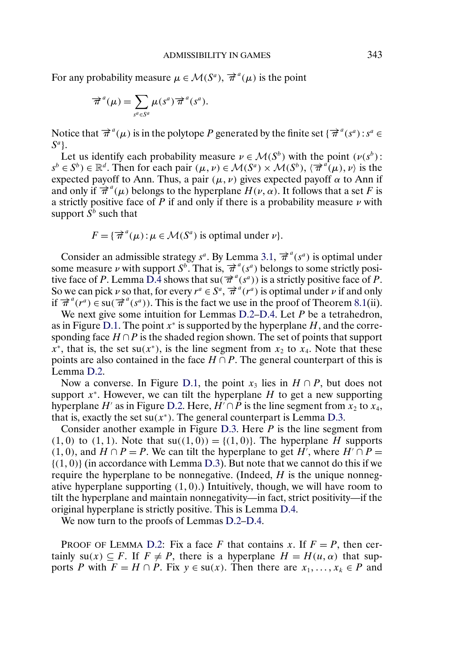For any probability measure  $\mu \in \mathcal{M}(S^a)$ ,  $\vec{\pi}^a(\mu)$  is the point

$$
\overrightarrow{\pi}^a(\mu) = \sum_{s^a \in S^a} \mu(s^a) \overrightarrow{\pi}^a(s^a).
$$

Notice that  $\vec{\pi}^a(\mu)$  is in the polytope P generated by the finite set  $\{\vec{\pi}^a(s^a): s^a \in$  $S^a$ .

Let us identify each probability measure  $\nu \in \mathcal{M}(S^b)$  with the point  $(\nu(s^b))$ :  $s^b \in S^b$ )  $\in \mathbb{R}^d$ . Then for each pair  $(\mu, \nu) \in \mathcal{M}(S^a) \times \mathcal{M}(S^b)$ ,  $\langle \vec{\pi}^a(\mu), \nu \rangle$  is the expected payoff to Ann. Thus, a pair  $(\mu, \nu)$  gives expected payoff  $\alpha$  to Ann if and only if  $\vec{\pi}^a(\mu)$  belongs to the hyperplane  $H(\nu, \alpha)$ . It follows that a set F is a strictly positive face of P if and only if there is a probability measure  $\nu$  with support  $\tilde{S}^b$  such that

$$
F = \{ \overrightarrow{\pi}^a(\mu) : \mu \in \mathcal{M}(S^a) \text{ is optimal under } \nu \}.
$$

Consider an admissible strategy  $s^a$ . By Lemma [3.1,](#page-14-0)  $\vec{\pi}^a(s^a)$  is optimal under some measure *v* with support  $S^b$ . That is,  $\vec{\pi}^a(s^a)$  belongs to some strictly posi-tive face of P. Lemma [D.4](#page-36-0) shows that  $su(\vec{\pi}^a(s^a))$  is a strictly positive face of P. So we can pick v so that, for every  $r^a \in S^a$ ,  $\vec{\pi}^a(r^a)$  is optimal under v if and only if  $\vec{\pi}^a(r^a) \in \text{su}(\vec{\pi}^a(s^a))$ . This is the fact we use in the proof of Theorem [8.1\(](#page-21-0)ii).

We next give some intuition for Lemmas [D.2–D.4.](#page-36-0) Let P be a tetrahedron, as in Figure [D.1.](#page-38-0) The point  $x^*$  is supported by the hyperplane  $H$ , and the corresponding face  $H \cap P$  is the shaded region shown. The set of points that support  $x^*$ , that is, the set su( $x^*$ ), is the line segment from  $x_2$  to  $x_4$ . Note that these points are also contained in the face  $H \cap P$ . The general counterpart of this is Lemma [D.2.](#page-36-0)

Now a converse. In Figure [D.1,](#page-38-0) the point  $x_3$  lies in  $H \cap P$ , but does not support  $x^*$ . However, we can tilt the hyperplane H to get a new supporting hyperplane H' as in Figure [D.2.](#page-38-0) Here,  $H' \cap P$  is the line segment from  $x_2$  to  $x_4$ , that is, exactly the set  $su(x^*)$ . The general counterpart is Lemma [D.3.](#page-36-0)

Consider another example in Figure [D.3.](#page-39-0) Here  $P$  is the line segment from  $(1,0)$  to  $(1,1)$ . Note that  $su((1,0)) = \{(1,0)\}$ . The hyperplane H supports  $(1, 0)$ , and  $H \cap P = P$ . We can tilt the hyperplane to get H', where  $H' \cap P =$  $\{(1,0)\}$  (in accordance with Lemma [D.3\)](#page-36-0). But note that we cannot do this if we require the hyperplane to be nonnegative. (Indeed,  $H$  is the unique nonnegative hyperplane supporting (1- 0).) Intuitively, though, we will have room to tilt the hyperplane and maintain nonnegativity—in fact, strict positivity—if the original hyperplane is strictly positive. This is Lemma [D.4.](#page-36-0)

We now turn to the proofs of Lemmas [D.2–D.4.](#page-36-0)

PROOF OF LEMMA [D.2:](#page-36-0) Fix a face F that contains x. If  $F = P$ , then certainly su(x)  $\subseteq$  F. If  $F \neq P$ , there is a hyperplane  $H = H(u, \alpha)$  that supports P with  $F = H \cap P$ . Fix  $y \in su(x)$ . Then there are  $x_1, \ldots, x_k \in P$  and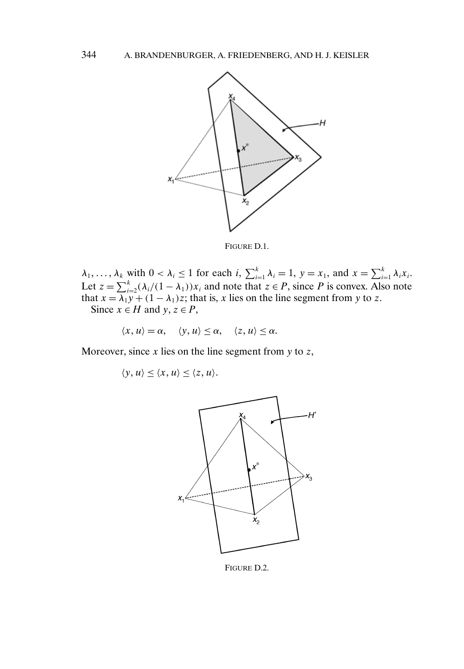<span id="page-38-0"></span>

FIGURE D.1.

 $\lambda_1, \ldots, \lambda_k$  with  $0 < \lambda_i \leq 1$  for each  $i, \sum_{i=1}^k \lambda_i = 1, y = x_1$ , and  $x = \sum_{i=1}^k \lambda_i x_i$ . Let  $z = \sum_{i=2}^{k} (\lambda_i/(1 - \lambda_1))x_i$  and note that  $z \in P$ , since P is convex. Also note that  $x = \lambda_1 y + (1 - \lambda_1)z$ ; that is, x lies on the line segment from y to z. Since  $x \in H$  and  $y, z \in P$ ,

 $\langle x, u \rangle = \alpha, \quad \langle y, u \rangle \leq \alpha, \quad \langle z, u \rangle \leq \alpha.$ 

Moreover, since  $x$  lies on the line segment from  $y$  to  $z$ ,

 $\langle y, u \rangle \leq \langle x, u \rangle \leq \langle z, u \rangle.$ 



FIGURE D.2.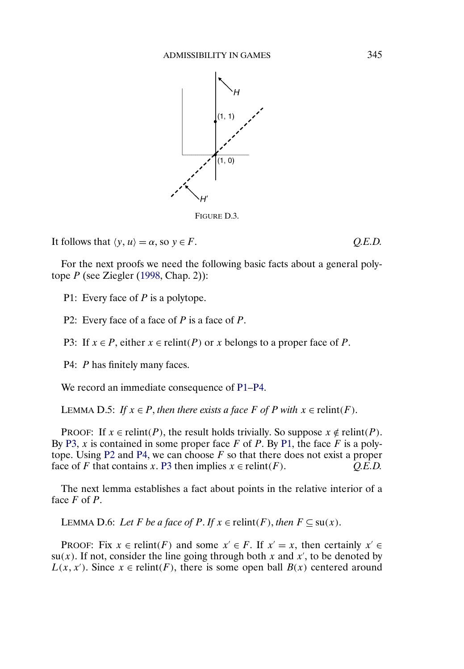<span id="page-39-0"></span>

FIGURE D.3.

It follows that  $\langle y, u \rangle = \alpha$ , so  $y \in F$ .  $Q.E.D.$ 

For the next proofs we need the following basic facts about a general polytope  $P$  (see Ziegler [\(1998,](#page-46-0) Chap. 2)):

P1: Every face of  $P$  is a polytope.

P2: Every face of a face of  $P$  is a face of  $P$ .

P3: If  $x \in P$ , either  $x \in \text{relint}(P)$  or x belongs to a proper face of P.

P4: P has finitely many faces.

We record an immediate consequence of P1–P4.

LEMMA D.5: *If*  $x \in P$ , *then there exists a face F of P with*  $x \in \text{relint}(F)$ .

PROOF: If  $x \in \text{relint}(P)$ , the result holds trivially. So suppose  $x \notin \text{relint}(P)$ . By P3, x is contained in some proper face  $F$  of  $P$ . By P1, the face  $F$  is a polytope. Using P2 and P4, we can choose  $F$  so that there does not exist a proper face of F that contains x. P3 then implies  $x \in \text{relint}(F)$ .  $Q.E.D.$ 

The next lemma establishes a fact about points in the relative interior of a face  $F$  of  $P$ .

LEMMA D.6: *Let F be a face of P*. *If*  $x \in \text{relint}(F)$ , *then*  $F \subseteq \text{su}(x)$ .

PROOF: Fix  $x \in \text{relint}(F)$  and some  $x' \in F$ . If  $x' = x$ , then certainly  $x' \in F$  $su(x)$ . If not, consider the line going through both x and x', to be denoted by  $L(x, x')$ . Since  $x \in \text{relint}(F)$ , there is some open ball  $B(x)$  centered around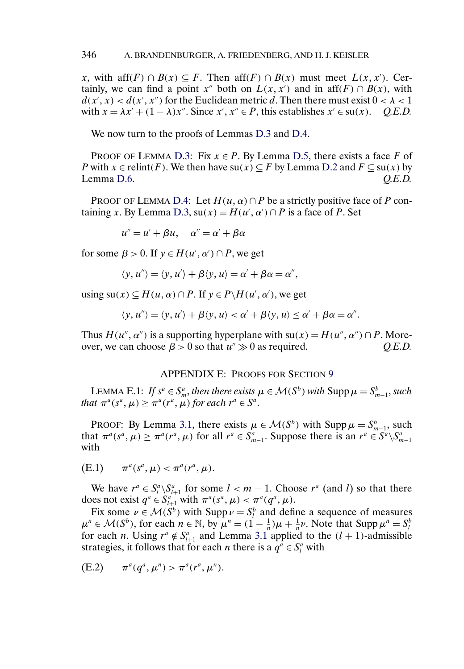<span id="page-40-0"></span>x, with aff(F)  $\cap$   $B(x) \subseteq F$ . Then aff(F)  $\cap$   $B(x)$  must meet  $L(x, x')$ . Certainly, we can find a point x" both on  $L(x, x')$  and in aff(F)  $\cap B(x)$ , with  $d(x', x) < d(x', x'')$  for the Euclidean metric d. Then there must exist  $0 < \lambda < 1$ with  $x = \lambda x' + (1 - \lambda)x''$ . Since  $x', x'' \in P$ , this establishes  $x' \in su(x)$ . *Q.E.D.* 

We now turn to the proofs of Lemmas [D.3](#page-36-0) and [D.4.](#page-36-0)

PROOF OF LEMMA [D.3:](#page-36-0) Fix  $x \in P$ . By Lemma [D.5,](#page-39-0) there exists a face F of P with  $x \in \text{relint}(F)$ . We then have su(x)  $\subseteq F$  by Lemma [D.2](#page-36-0) and  $F \subseteq \text{su}(x)$  by Lemma [D.6.](#page-39-0) *Q.E.D.*

PROOF OF LEMMA [D.4:](#page-36-0) Let  $H(u, \alpha) \cap P$  be a strictly positive face of P con-taining x. By Lemma [D.3,](#page-36-0)  $su(x) = H(u', \alpha') \cap P$  is a face of P. Set

 $u'' = u' + \beta u$ ,  $\alpha'' = \alpha' + \beta \alpha$ 

for some  $\beta > 0$ . If  $y \in H(u', \alpha') \cap P$ , we get

$$
\langle y, u'' \rangle = \langle y, u' \rangle + \beta \langle y, u \rangle = \alpha' + \beta \alpha = \alpha'',
$$

using su(x)  $\subseteq H(u, \alpha) \cap P$ . If  $y \in P\backslash H(u', \alpha')$ , we get

$$
\langle y, u'' \rangle = \langle y, u' \rangle + \beta \langle y, u \rangle < \alpha' + \beta \langle y, u \rangle \le \alpha' + \beta \alpha = \alpha''.
$$

Thus  $H(u'', \alpha'')$  is a supporting hyperplane with  $su(x) = H(u'', \alpha'') \cap P$ . Moreover, we can choose  $\beta > 0$  so that  $u'' \gg 0$  as required.  $Q.E.D.$ 

## APPENDIX E: PROOFS FOR SECTION [9](#page-23-0)

LEMMA E.1: *If*  $s^a \in S_m^a$ , *then there exists*  $\mu \in \mathcal{M}(S^b)$  *with* Supp  $\mu = S_{m-1}^b$ , *such that*  $\pi^a(s^a, \mu) \geq \pi^a(r^a, \mu)$  *for each*  $r^a \in S^a$ .

PROOF: By Lemma [3.1,](#page-14-0) there exists  $\mu \in \mathcal{M}(S^b)$  with Supp $\mu = S^b_{m-1}$ , such that  $\pi^a(s^a, \mu) \ge \pi^a(r^a, \mu)$  for all  $r^a \in S^a_{m-1}$ . Suppose there is an  $r^a \in S^a \backslash S^a_{m-1}$ with

(E.1) 
$$
\pi^a(s^a, \mu) < \pi^a(r^a, \mu).
$$

We have  $r^a \in S_l^a \setminus S_{l+1}^a$  for some  $l < m - 1$ . Choose  $r^a$  (and l) so that there does not exist  $q^a \in S_{l+1}^a$  with  $\pi^a(s^a, \mu) < \pi^a(q^a, \mu)$ .

Fix some  $\nu \in \mathcal{M}(S^b)$  with Supp  $\nu = S^b_l$  and define a sequence of measures  $\mu^n \in \mathcal{M}(S^b)$ , for each  $n \in \mathbb{N}$ , by  $\mu^n = (1 - \frac{1}{n})\mu + \frac{1}{n}\nu$ . Note that Supp  $\mu^n = S^b_l$ for each *n*. Using  $r^a \notin S_{l+1}^a$  and Lemma [3.1](#page-14-0) applied to the  $(l + 1)$ -admissible strategies, it follows that for each *n* there is a  $q^a \in S_l^a$  with

(E.2) 
$$
\pi^a(q^a, \mu^n) > \pi^a(r^a, \mu^n).
$$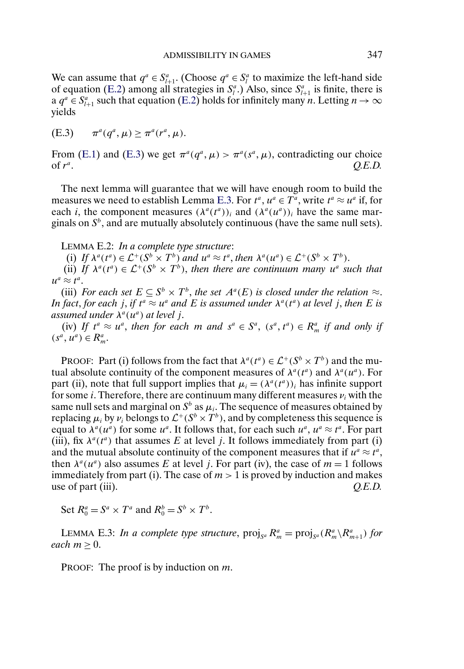<span id="page-41-0"></span>We can assume that  $q^a \in S_{l+1}^a$ . (Choose  $q^a \in S_l^a$  to maximize the left-hand side of equation [\(E.2\)](#page-40-0) among all strategies in  $S_i^a$ .) Also, since  $S_{i+1}^a$  is finite, there is a  $q^a \in S^a_{l+1}$  such that equation [\(E.2\)](#page-40-0) holds for infinitely many n. Letting  $n \to \infty$ yields

(E.3) 
$$
\pi^a(q^a, \mu) \geq \pi^a(r^a, \mu)
$$
.

From [\(E.1\)](#page-40-0) and (E.3) we get  $\pi^a(q^a, \mu) > \pi^a(s^a, \mu)$ , contradicting our choice of  $r^a$ .  $Q.E.D.$ 

The next lemma will guarantee that we will have enough room to build the measures we need to establish Lemma E.3. For  $t^a$ ,  $u^a \in T^a$ , write  $t^a \approx u^a$  if, for each *i*, the component measures  $(\lambda^a(t^a))_i$  and  $(\lambda^a(u^a))_i$  have the same marginals on  $S<sup>b</sup>$ , and are mutually absolutely continuous (have the same null sets).

LEMMA E.2: *In a complete type structure*:

(i) If  $\lambda^a(t^a) \in \mathcal{L}^+(S^b \times T^b)$  *and*  $u^a \approx t^a$ , *then*  $\lambda^a(u^a) \in \mathcal{L}^+(S^b \times T^b)$ .

(ii) If  $\lambda^a(t^a) \in \mathcal{L}^+(S^b \times T^b)$ , then there are continuum many  $u^a$  such that  $u^a \approx t^a$ .

(iii) *For each set*  $E \subseteq S^b \times T^b$ *, the set*  $A^a(E)$  *is closed under the relation*  $\approx$ . *In fact, for each j, if*  $t^a \approx u^a$  *and E is assumed under*  $\lambda^a(t^a)$  *at level j, then E is assumed under*  $\lambda^a(u^a)$  *at level j*.

(iv) If  $t^a \approx u^a$ , then for each m and  $s^a \in S^a$ ,  $(s^a, t^a) \in R^a$  if and only if  $(s^a, u^a) \in R_m^a$ .

PROOF: Part (i) follows from the fact that  $\lambda^a(t^a) \in \mathcal{L}^+(S^b \times T^b)$  and the mutual absolute continuity of the component measures of  $\lambda^a(t^a)$  and  $\lambda^a(u^a)$ . For part (ii), note that full support implies that  $\mu_i = (\lambda^a(t^a))_i$  has infinite support for some *i*. Therefore, there are continuum many different measures  $\nu_i$  with the same null sets and marginal on  $S^b$  as  $\mu_i$ . The sequence of measures obtained by replacing  $\mu_i$  by  $\nu_i$  belongs to  $\mathcal{L}^+(S^b \times T^b)$ , and by completeness this sequence is equal to  $\lambda^a(u^a)$  for some  $u^a$ . It follows that, for each such  $u^a$ ,  $u^a \approx t^a$ . For part (iii), fix  $\lambda^a(t^a)$  that assumes E at level j. It follows immediately from part (i) and the mutual absolute continuity of the component measures that if  $u^a \approx t^a$ , then  $\lambda^a(u^a)$  also assumes E at level *j*. For part (iv), the case of  $m = 1$  follows immediately from part (i). The case of  $m > 1$  is proved by induction and makes use of part (iii). *Q.E.D.*

Set  $R_0^a = S^a \times T^a$  and  $R_0^b = S^b \times T^b$ .

LEMMA E.3: *In a complete type structure*,  $\text{proj}_{S^a} R_m^a = \text{proj}_{S^a} (R_m^a \setminus R_{m+1}^a)$  *for each*  $m \geq 0$ .

PROOF: The proof is by induction on m.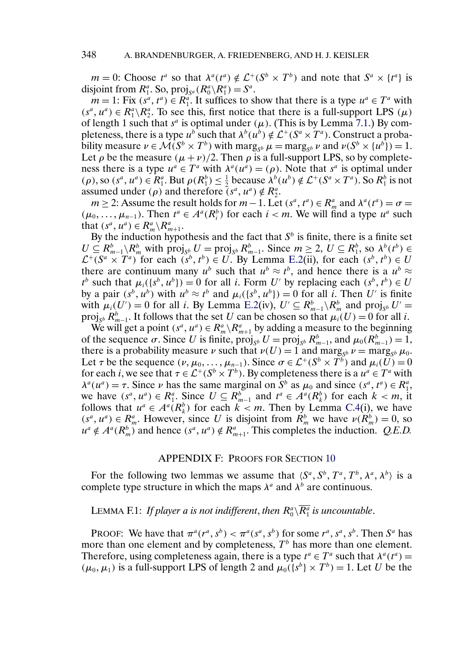<span id="page-42-0"></span> $m = 0$ : Choose  $t^a$  so that  $\lambda^a(t^a) \notin \mathcal{L}^+(S^b \times T^b)$  and note that  $S^a \times \{t^a\}$  is disjoint from  $R_1^a$ . So,  $\text{proj}_{S^a}(R_0^a \setminus R_1^a) = S^a$ .

 $m = 1$ : Fix  $(s^a, t^a) \in R_1^a$ . It suffices to show that there is a type  $u^a \in T^a$  with  $(s^a, u^a) \in R_1^a \setminus R_2^a$ . To see this, first notice that there is a full-support LPS ( $\mu$ ) of length 1 such that  $s^a$  is optimal under ( $\mu$ ). (This is by Lemma [7.1.](#page-19-0)) By completeness, there is a type  $u^b$  such that  $\lambda^b(u^b) \notin L^+(S^a \times T^a)$ . Construct a probability measure  $\nu \in \mathcal{M}(S^b \times T^b)$  with marg<sub>sb</sub>  $\mu = \text{marg}_{S^b} \nu$  and  $\nu(S^b \times \{u^b\}) = 1$ . Let  $\rho$  be the measure  $(\mu + \nu)/2$ . Then  $\rho$  is a full-support LPS, so by completeness there is a type  $u^a \in T^a$  with  $\lambda^a(u^a) = (\rho)$ . Note that  $s^a$  is optimal under  $(\rho)$ , so  $(s^a, u^a) \in R_1^a$ . But  $\rho(R_1^b) \leq \frac{1}{2}$  because  $\lambda^b(u^b) \notin \mathcal{L}^+(S^a \times T^a)$ . So  $R_1^b$  is not assumed under  $(\rho)$  and therefore  $(s^a, u^a) \notin R_2^a$ .

 $m \geq 2$ : Assume the result holds for  $m-1$ . Let  $(s^a, t^a) \in R_m^a$  and  $\lambda^a(t^a) = \sigma =$  $(\mu_0, \dots, \mu_{n-1})$ . Then  $t^a \in A^a(R_i^b)$  for each  $i < m$ . We will find a type  $u^a$  such that  $(s^a, u^a) \in R_m^a \backslash R_{m+1}^a$ .

By the induction hypothesis and the fact that  $S<sup>b</sup>$  is finite, there is a finite set  $U \subseteq R_{m-1}^b \setminus R_m^b$  with  $\text{proj}_{S^b} U = \text{proj}_{S^b} R_{m-1}^b$ . Since  $m \ge 2$ ,  $U \subseteq R_1^b$ , so  $\lambda^b(t^b) \in$  $\mathcal{L}^+(S^a \times T^a)$  for each  $(s^b, t^b) \in U$ . By Lemma [E.2\(](#page-41-0)ii), for each  $(s^b, t^b) \in U$ there are continuum many  $u^b$  such that  $u^b \approx t^b$ , and hence there is a  $u^b \approx$  $t^b$  such that  $\mu_i({s^b}, u^b) = 0$  for all *i*. Form U' by replacing each  $(s^b, t^b) \in U$ by a pair  $(s^b, u^b)$  with  $u^b \approx t^b$  and  $\mu_i({s^b, u^b}) = 0$  for all i. Then U' is finite with  $\mu_i(U') = 0$  for all *i*. By Lemma [E.2\(](#page-41-0)iv),  $U' \subseteq R_{m-1}^b \backslash R_m^b$  and  $\text{proj}_{S^b} U' =$ proj<sub>sb</sub>  $R_{m-1}^b$ . It follows that the set U can be chosen so that  $\mu_i(U) = 0$  for all i.

We will get a point  $(s^a, u^a) \in R_m^a \setminus R_{m+1}^a$  by adding a measure to the beginning of the sequence  $\sigma$ . Since U is finite,  $\text{proj}_{S^b} U = \text{proj}_{S^b} R_{m-1}^b$ , and  $\mu_0(R_{m-1}^b) = 1$ , there is a probability measure  $\nu$  such that  $\nu(U) = 1$  and marg<sub>sb</sub>  $\nu = \text{marg}_{S^b} \mu_0$ . Let  $\tau$  be the sequence  $(\nu, \mu_0, \dots, \mu_{n-1})$ . Since  $\sigma \in \mathcal{L}^+(S^b \times T^b)$  and  $\mu_i(\overline{U}) = 0$ for each *i*, we see that  $\tau \in \mathcal{L}^+(S^b \times T^b)$ . By completeness there is a  $u^a \in T^a$  with  $\lambda^a(u^a) = \tau$ . Since *v* has the same marginal on  $S^b$  as  $\mu_0$  and since  $(s^a, t^a) \in R_1^a$ , we have  $(s^a, u^a) \in R_1^a$ . Since  $U \subseteq R_{m-1}^b$  and  $t^a \in A^a(R_k^b)$  for each  $k < m$ , it follows that  $u^a \in A^a(R^b)$  for each  $k < m$ . Then by Lemma [C.4\(](#page-35-0)i), we have  $(s^a, u^a) \in R_m^a$ . However, since U is disjoint from  $R_m^b$  we have  $\nu(R_m^b) = 0$ , so  $u^a \notin A^a(R_m^b)$  and hence  $(s^a, u^a) \notin R_{m+1}^a$ . This completes the induction. *Q.E.D.* 

### APPENDIX F: PROOFS FOR SECTION [10](#page-25-0)

For the following two lemmas we assume that  $\langle S^a, S^b, T^a, T^b, \lambda^a, \lambda^b \rangle$  is a complete type structure in which the maps  $\lambda^a$  and  $\lambda^b$  are continuous.

# LEMMA F.1: *If player a is not indifferent, then*  $R_0^a \backslash \overline{R_1^a}$  *is uncountable.*

**PROOF:** We have that  $\pi^a(r^a, s^b) < \pi^a(s^a, s^b)$  for some  $r^a, s^a, s^b$ . Then  $S^a$  has more than one element and by completeness,  $T<sup>b</sup>$  has more than one element. Therefore, using completeness again, there is a type  $t^a \in T^a$  such that  $\lambda^a(t^a) =$  $(\mu_0, \mu_1)$  is a full-support LPS of length 2 and  $\mu_0({s^b} \times T^b) = 1$ . Let U be the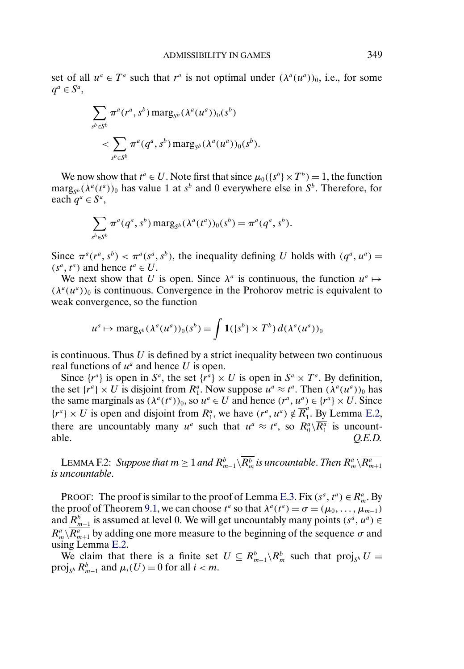<span id="page-43-0"></span>set of all  $u^a \in T^a$  such that  $r^a$  is not optimal under  $(\lambda^a(u^a))_0$ , i.e., for some  $q^a \in S^a$ ,

$$
\sum_{s^b \in S^b} \pi^a(r^a, s^b) \operatorname{marg}_{S^b}(\lambda^a(u^a))_0(s^b)
$$
  

$$
< \sum_{s^b \in S^b} \pi^a(q^a, s^b) \operatorname{marg}_{S^b}(\lambda^a(u^a))_0(s^b).
$$

We now show that  $t^a \in U$ . Note first that since  $\mu_0({s^b} \times T^b) = 1$ , the function  $\arg_{\varsigma_b} (\lambda^a(t^a))_0$  has value 1 at  $s^b$  and 0 everywhere else in  $S^b$ . Therefore, for each  $q^a \in S^a$ ,

$$
\sum_{s^b \in S^b} \pi^a(q^a, s^b) \operatorname{marg}_{S^b}(\lambda^a(t^a))_0(s^b) = \pi^a(q^a, s^b).
$$

Since  $\pi^a(r^a, s^b) < \pi^a(s^a, s^b)$ , the inequality defining U holds with  $(q^a, u^a)$  =  $(s^a, t^a)$  and hence  $t^a \in U$ .

We next show that U is open. Since  $\lambda^a$  is continuous, the function  $u^a \mapsto$  $(\lambda^{\alpha}(u^{\alpha}))_0$  is continuous. Convergence in the Prohorov metric is equivalent to weak convergence, so the function

$$
u^{a} \mapsto \mathrm{marg}_{S^{b}}(\lambda^{a}(u^{a}))_{0}(s^{b}) = \int \mathbf{1}(\{s^{b}\} \times T^{b}) d(\lambda^{a}(u^{a}))_{0}
$$

is continuous. Thus  $U$  is defined by a strict inequality between two continuous real functions of  $u^a$  and hence U is open.

Since  $\{r^a\}$  is open in  $S^a$ , the set  $\{r^a\} \times U$  is open in  $S^a \times T^a$ . By definition, the set  $\{r^a\} \times U$  is disjoint from  $R_1^a$ . Now suppose  $u^a \approx t^a$ . Then  $(\lambda^a(u^a))_0$  has the same marginals as  $(\lambda^a(t^a))_0$ , so  $u^a \in U$  and hence  $(r^a, u^a) \in \{r^a\} \times U$ . Since  ${r<sup>a</sup>} \times U$  is open and disjoint from  $R_1^a$ , we have  $(r<sup>a</sup>, u<sup>a</sup>) \notin \overline{R}_1^a$ . By Lemma [E.2,](#page-41-0) there are uncountably many  $u^a$  such that  $u^a \approx t^a$ , so  $R_0^a \backslash \overline{R_1^a}$  is uncountable. *Q.E.D.*

LEMMA F.2: *Suppose that*  $m \geq 1$  *and*  $R_{m-1}^b \backslash R_m^b$  *is uncountable. Then*  $R_m^a \backslash \overline{R_{m+1}^a}$ *is uncountable*.

PROOF: The proof is similar to the proof of Lemma [E.3.](#page-41-0) Fix  $(s^a, t^a) \in R_m^a$ . By the proof of Theorem [9.1,](#page-23-0) we can choose  $t^a$  so that  $\lambda^a(t^a) = \sigma = (\mu_0, \dots, \mu_{m-1})$ and  $R_{m-1}^b$  is assumed at level 0. We will get uncountably many points  $(s^a, u^a) \in$  $R_m^a \setminus \overline{R_{m+1}^a}$  by adding one more measure to the beginning of the sequence  $\sigma$  and using Lemma [E.2.](#page-41-0)

We claim that there is a finite set  $U \subseteq R_{m-1}^b \backslash R_m^b$  such that  $\text{proj}_{S^b} U =$  $\operatorname{proj}_{S^b} R_{m-1}^b$  and  $\mu_i(U) = 0$  for all  $i < m$ .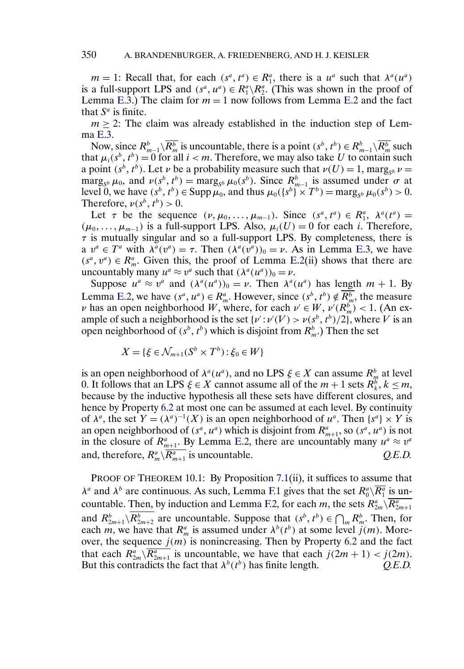$m = 1$ : Recall that, for each  $(s^a, t^a) \in R_1^a$ , there is a  $u^a$  such that  $\lambda^a(u^a)$ is a full-support LPS and  $(s^a, u^a) \in R_1^a \setminus R_2^a$ . (This was shown in the proof of Lemma [E.3.](#page-41-0)) The claim for  $m = 1$  now follows from Lemma [E.2](#page-41-0) and the fact that  $S^a$  is finite.

 $m \geq 2$ : The claim was already established in the induction step of Lemma [E.3.](#page-41-0)

Now, since  $R_{m-1}^b \setminus R_m^b$  is uncountable, there is a point  $(s^b, t^b) \in R_{m-1}^b \setminus R_m^b$  such that  $\mu_i(s^b, t^b) = 0$  for all  $i < m$ . Therefore, we may also take U to contain such a point  $(s^b, t^b)$ . Let  $\nu$  be a probability measure such that  $\nu(U) = 1$ , marg<sub>sb</sub>  $\nu =$ marg<sub>Sb</sub>  $\mu_0$ , and  $\nu(s^b, t^b) = \text{marg}_{S^b} \mu_0(s^b)$ . Since  $R_{m-1}^b$  is assumed under  $\sigma$  at level 0, we have  $(s^b, t^b) \in \text{Supp}\,\mu_0$ , and thus  $\mu_0({s^b} \times T^b) = \text{marg}_{s^b}\,\mu_0(s^b) > 0$ . Therefore,  $\nu(s^b, t^b) > 0$ .

Let  $\tau$  be the sequence  $(\nu, \mu_0, \dots, \mu_{m-1})$ . Since  $(s^a, t^a) \in R_1^a$ ,  $\lambda^a(t^a) =$  $(\mu_0, \dots, \mu_{m-1})$  is a full-support LPS. Also,  $\mu_i(U) = 0$  for each *i*. Therefore,  $\tau$  is mutually singular and so a full-support LPS. By completeness, there is a  $v^a \in T^a$  with  $\lambda^a(v^a) = \tau$ . Then  $(\lambda^a(v^a))_0 = \nu$ . As in Lemma [E.3,](#page-41-0) we have  $(s^a, v^a) \in R_m^a$ . Given this, the proof of Lemma [E.2\(](#page-41-0)ii) shows that there are uncountably many  $u^a \approx v^a$  such that  $(\lambda^a(u^a))_0 = v$ .

Suppose  $u^a \approx v^a$  and  $(\lambda^a(u^a))_0 = v$ . Then  $\lambda^a(u^a)$  has length  $m + 1$ . By Lemma [E.2,](#page-41-0) we have  $(s^a, u^a) \in R_m^a$ . However, since  $(s^b, t^b) \notin R_m^b$ , the measure *ν* has an open neighborhood *W*, where, for each  $\nu' \in W$ ,  $\nu'(R_m^b) < 1$ . (An example of such a neighborhood is the set  $\{v': v'(V) > v(s^b, t^b)/2\}$ , where V is an open neighborhood of  $(s^b, t^b)$  which is disjoint from  $R_m^b$ .) Then the set

$$
X = \{ \xi \in \mathcal{N}_{m+1}(S^b \times T^b) : \xi_0 \in W \}
$$

is an open neighborhood of  $\lambda^a(u^a)$ , and no LPS  $\xi \in X$  can assume  $R_m^b$  at level 0. It follows that an LPS  $\xi \in X$  cannot assume all of the  $m+1$  sets  $R_k^b$ ,  $k \le m$ , because by the inductive hypothesis all these sets have different closures, and hence by Property [6.2](#page-17-0) at most one can be assumed at each level. By continuity of  $\lambda^a$ , the set  $Y = (\lambda^a)^{-1}(X)$  is an open neighborhood of  $u^a$ . Then  $\{s^a\} \times Y$  is an open neighborhood of  $(s^a, u^a)$  which is disjoint from  $R^a_{m+1}$ , so  $(s^a, u^a)$  is not in the closure of  $R_{m+1}^a$ . By Lemma [E.2,](#page-41-0) there are uncountably many  $u^a \approx v^a$ and, therefore,  $R_m^a \setminus \overline{R_{m+1}^a}$  is uncountable.  $Q.E.D.$ 

PROOF OF THEOREM [10.1:](#page-26-0) By Proposition [7.1\(](#page-20-0)ii), it suffices to assume that  $\lambda^a$  and  $\lambda^b$  are continuous. As such, Lemma [F.1](#page-42-0) gives that the set  $R_0^a \backslash \overline{R_1^a}$  is un-countable. Then, by induction and Lemma [F.2](#page-43-0), for each m, the sets  $R_{2m}^a \backslash \overline{R_{2m+1}^a}$ and  $R_{2m+1}^b \backslash \overline{R_{2m+2}^b}$  are uncountable. Suppose that  $(s^b, t^b) \in \bigcap_m R_m^b$ . Then, for each *m*, we have that  $R_m^a$  is assumed under  $\lambda^b(t^b)$  at some level  $j(m)$ . Moreover, the sequence  $j(m)$  is nonincreasing. Then by Property [6.2](#page-17-0) and the fact that each  $R_{2m}^a \setminus \overline{R_{2m+1}^a}$  is uncountable, we have that each  $j(2m + 1) < j(2m)$ . But this contradicts the fact that  $\lambda^b(t^b)$  has finite length. *Q.E.D.*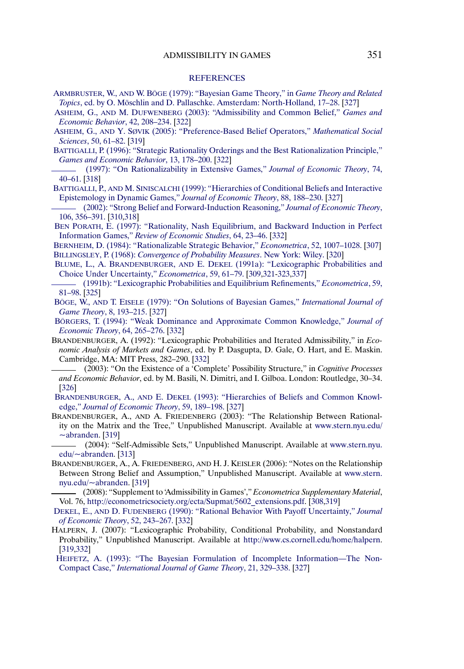## ADMISSIBILITY IN GAMES 351

#### **[REFERENCES](http://www.e-publications.org/srv/ecta/linkserver/setprefs?rfe_id=urn:sici%2F0012-9682%28200803%2976%3A2%3C307%3AAIG%3E2.0.CO%3B2-R)**

<span id="page-45-0"></span>ARMBRUSTER, W., AND W. BÖGE [\(1979\): "Bayesian Game Theory," in](http://www.e-publications.org/srv/ecta/linkserver/openurl?rft_dat=bib:1/armbrusterboge&rfe_id=urn:sici%2F0012-9682%28200803%2976%3A2%3C307%3AAIG%3E2.0.CO%3B2-R) *Game Theory and Related Topics*[, ed. by O. Möschlin and D. Pallaschke. Amsterdam: North-Holland, 17–28.](http://www.e-publications.org/srv/ecta/linkserver/openurl?rft_dat=bib:1/armbrusterboge&rfe_id=urn:sici%2F0012-9682%28200803%2976%3A2%3C307%3AAIG%3E2.0.CO%3B2-R) [\[327\]](#page-20-0)

ASHEIM, G., AND M. DUFWENBERG [\(2003\): "Admissibility and Common Belief,"](http://www.e-publications.org/srv/ecta/linkserver/openurl?rft_dat=bib:2/asheimdufwenberg&rfe_id=urn:sici%2F0012-9682%28200803%2976%3A2%3C307%3AAIG%3E2.0.CO%3B2-R) *Games and [Economic Behavior](http://www.e-publications.org/srv/ecta/linkserver/openurl?rft_dat=bib:2/asheimdufwenberg&rfe_id=urn:sici%2F0012-9682%28200803%2976%3A2%3C307%3AAIG%3E2.0.CO%3B2-R)*, 42, 208–234. [\[322\]](#page-15-0)

ASHEIM, G., AND Y. SØVIK [\(2005\): "Preference-Based Belief Operators,"](http://www.e-publications.org/srv/ecta/linkserver/openurl?rft_dat=bib:3/asheimsovik&rfe_id=urn:sici%2F0012-9682%28200803%2976%3A2%3C307%3AAIG%3E2.0.CO%3B2-R) *Mathematical Social Sciences*[, 50, 61–82.](http://www.e-publications.org/srv/ecta/linkserver/openurl?rft_dat=bib:3/asheimsovik&rfe_id=urn:sici%2F0012-9682%28200803%2976%3A2%3C307%3AAIG%3E2.0.CO%3B2-R) [\[319\]](#page-12-0)

[BATTIGALLI, P. \(1996\): "Strategic Rationality Orderings and the Best Rationalization Principle,"](http://www.e-publications.org/srv/ecta/linkserver/openurl?rft_dat=bib:4/battigallia&rfe_id=urn:sici%2F0012-9682%28200803%2976%3A2%3C307%3AAIG%3E2.0.CO%3B2-R) *[Games and Economic Behavior](http://www.e-publications.org/srv/ecta/linkserver/openurl?rft_dat=bib:4/battigallia&rfe_id=urn:sici%2F0012-9682%28200803%2976%3A2%3C307%3AAIG%3E2.0.CO%3B2-R)*, 13, 178–200. [\[322\]](#page-15-0)

[\(1997\): "On Rationalizability in Extensive Games,"](http://www.e-publications.org/srv/ecta/linkserver/openurl?rft_dat=bib:5/battigalli&rfe_id=urn:sici%2F0012-9682%28200803%2976%3A2%3C307%3AAIG%3E2.0.CO%3B2-R) *Journal of Economic Theory*, 74, [40–61.](http://www.e-publications.org/srv/ecta/linkserver/openurl?rft_dat=bib:5/battigalli&rfe_id=urn:sici%2F0012-9682%28200803%2976%3A2%3C307%3AAIG%3E2.0.CO%3B2-R) [\[318\]](#page-11-0)

BATTIGALLI, P., AND M. SINISCALCHI [\(1999\): "Hierarchies of Conditional Beliefs and Interactive](http://www.e-publications.org/srv/ecta/linkserver/openurl?rft_dat=bib:6/battigallisiniscalchia&rfe_id=urn:sici%2F0012-9682%28200803%2976%3A2%3C307%3AAIG%3E2.0.CO%3B2-R) [Epistemology in Dynamic Games,"](http://www.e-publications.org/srv/ecta/linkserver/openurl?rft_dat=bib:6/battigallisiniscalchia&rfe_id=urn:sici%2F0012-9682%28200803%2976%3A2%3C307%3AAIG%3E2.0.CO%3B2-R) *Journal of Economic Theory*, 88, 188–230. [\[327\]](#page-20-0)

[\(2002\): "Strong Belief and Forward-Induction Reasoning,"](http://www.e-publications.org/srv/ecta/linkserver/openurl?rft_dat=bib:7/battigallisiniscalchib&rfe_id=urn:sici%2F0012-9682%28200803%2976%3A2%3C307%3AAIG%3E2.0.CO%3B2-R) *Journal of Economic Theory*, [106, 356–391.](http://www.e-publications.org/srv/ecta/linkserver/openurl?rft_dat=bib:7/battigallisiniscalchib&rfe_id=urn:sici%2F0012-9682%28200803%2976%3A2%3C307%3AAIG%3E2.0.CO%3B2-R) [\[310,318\]](#page-3-0)

BEN [PORATH, E. \(1997\): "Rationality, Nash Equilibrium, and Backward Induction in Perfect](http://www.e-publications.org/srv/ecta/linkserver/openurl?rft_dat=bib:8/benporath&rfe_id=urn:sici%2F0012-9682%28200803%2976%3A2%3C307%3AAIG%3E2.0.CO%3B2-R) Information Games," *[Review of Economic Studies](http://www.e-publications.org/srv/ecta/linkserver/openurl?rft_dat=bib:8/benporath&rfe_id=urn:sici%2F0012-9682%28200803%2976%3A2%3C307%3AAIG%3E2.0.CO%3B2-R)*, 64, 23–46. [\[332\]](#page-25-0)

[BERNHEIM, D. \(1984\): "Rationalizable Strategic Behavior,"](http://www.e-publications.org/srv/ecta/linkserver/openurl?rft_dat=bib:9/bernheim&rfe_id=urn:sici%2F0012-9682%28200803%2976%3A2%3C307%3AAIG%3E2.0.CO%3B2-R) *Econometrica*, 52, 1007–1028. [\[307\]](#page-0-0) BILLINGSLEY, P. (1968): *[Convergence of Probability Measures](http://www.e-publications.org/srv/ecta/linkserver/openurl?rft_dat=bib:10/billingsley&rfe_id=urn:sici%2F0012-9682%28200803%2976%3A2%3C307%3AAIG%3E2.0.CO%3B2-R)*. New York: Wiley. [\[320\]](#page-13-0)

BLUME, L., A. BRANDENBURGER, AND E. DEKEL [\(1991a\): "Lexicographic Probabilities and](http://www.e-publications.org/srv/ecta/linkserver/openurl?rft_dat=bib:11/bbda&rfe_id=urn:sici%2F0012-9682%28200803%2976%3A2%3C307%3AAIG%3E2.0.CO%3B2-R) [Choice Under Uncertainty,"](http://www.e-publications.org/srv/ecta/linkserver/openurl?rft_dat=bib:11/bbda&rfe_id=urn:sici%2F0012-9682%28200803%2976%3A2%3C307%3AAIG%3E2.0.CO%3B2-R) *Econometrica*, 59, 61–79. [\[309,321](#page-2-0)[-323,](#page-14-0)[337\]](#page-16-0)

[\(1991b\): "Lexicographic Probabilities and Equilibrium Refinements,"](http://www.e-publications.org/srv/ecta/linkserver/openurl?rft_dat=bib:12/bbdb&rfe_id=urn:sici%2F0012-9682%28200803%2976%3A2%3C307%3AAIG%3E2.0.CO%3B2-R) *Econometrica*, 59, [81–98.](http://www.e-publications.org/srv/ecta/linkserver/openurl?rft_dat=bib:12/bbdb&rfe_id=urn:sici%2F0012-9682%28200803%2976%3A2%3C307%3AAIG%3E2.0.CO%3B2-R) [\[325\]](#page-18-0)

BÖGE, W., AND T. EISELE [\(1979\): "On Solutions of Bayesian Games,"](http://www.e-publications.org/srv/ecta/linkserver/openurl?rft_dat=bib:13/bogeeisele&rfe_id=urn:sici%2F0012-9682%28200803%2976%3A2%3C307%3AAIG%3E2.0.CO%3B2-R) *International Journal of [Game Theory](http://www.e-publications.org/srv/ecta/linkserver/openurl?rft_dat=bib:13/bogeeisele&rfe_id=urn:sici%2F0012-9682%28200803%2976%3A2%3C307%3AAIG%3E2.0.CO%3B2-R)*, 8, 193–215. [\[327\]](#page-20-0)

[BÖRGERS, T. \(1994\): "Weak Dominance and Approximate Common Knowledge,"](http://www.e-publications.org/srv/ecta/linkserver/openurl?rft_dat=bib:14/borgersb&rfe_id=urn:sici%2F0012-9682%28200803%2976%3A2%3C307%3AAIG%3E2.0.CO%3B2-R) *Journal of [Economic Theory](http://www.e-publications.org/srv/ecta/linkserver/openurl?rft_dat=bib:14/borgersb&rfe_id=urn:sici%2F0012-9682%28200803%2976%3A2%3C307%3AAIG%3E2.0.CO%3B2-R)*, 64, 265–276. [\[332\]](#page-25-0)

BRANDENBURGER, A. (1992): "Lexicographic Probabilities and Iterated Admissibility," in *Economic Analysis of Markets and Games*, ed. by P. Dasgupta, D. Gale, O. Hart, and E. Maskin. Cambridge, MA: MIT Press, 282–290. [\[332\]](#page-25-0)

(2003): "On the Existence of a 'Complete' Possibility Structure," in *Cognitive Processes and Economic Behavior*, ed. by M. Basili, N. Dimitri, and I. Gilboa. London: Routledge, 30–34. [\[326\]](#page-19-0)

BRANDENBURGER, A., AND E. DEKEL [\(1993\): "Hierarchies of Beliefs and Common Knowl](http://www.e-publications.org/srv/ecta/linkserver/openurl?rft_dat=bib:17/brandenburgerdekelb&rfe_id=urn:sici%2F0012-9682%28200803%2976%3A2%3C307%3AAIG%3E2.0.CO%3B2-R)edge," *[Journal of Economic Theory](http://www.e-publications.org/srv/ecta/linkserver/openurl?rft_dat=bib:17/brandenburgerdekelb&rfe_id=urn:sici%2F0012-9682%28200803%2976%3A2%3C307%3AAIG%3E2.0.CO%3B2-R)*, 59, 189–198. [\[327\]](#page-20-0)

BRANDENBURGER, A., AND A. FRIEDENBERG (2003): "The Relationship Between Rationality on the Matrix and the Tree," Unpublished Manuscript. Available at [www.stern.nyu.edu/](www.stern.nyu.edu/~abranden)  $\sim$ abranden. [\[319\]](#page-12-0)

(2004): "Self-Admissible Sets," Unpublished Manuscript. Available at [www.stern.nyu.](www.stern.nyu.edu/~abranden) [edu/~abranden.](www.stern.nyu.edu/~abranden) [\[313\]](#page-6-0)

BRANDENBURGER, A., A. FRIEDENBERG, AND H. J. KEISLER (2006): "Notes on the Relationship Between Strong Belief and Assumption," Unpublished Manuscript. Available at [www.stern.](www.stern.nyu.edu/~abranden) [nyu.edu/~abranden](www.stern.nyu.edu/~abranden). [\[319\]](#page-12-0)

(2008): "Supplement to 'Admissibility in Games'," *Econometrica Supplementary Material*, Vol. 76, [http://econometricsociety.org/ecta/Supmat/5602\\_extensions.pdf](http://econometricsociety.org/ecta/Supmat/5602_extensions.pdf). [\[308,319\]](#page-1-0)

- DEKEL, E., AND D. FUDENBERG [\(1990\): "Rational Behavior With Payoff Uncertainty,"](http://www.e-publications.org/srv/ecta/linkserver/openurl?rft_dat=bib:22/dekelfudenberg&rfe_id=urn:sici%2F0012-9682%28200803%2976%3A2%3C307%3AAIG%3E2.0.CO%3B2-R) *Journal [of Economic Theory](http://www.e-publications.org/srv/ecta/linkserver/openurl?rft_dat=bib:22/dekelfudenberg&rfe_id=urn:sici%2F0012-9682%28200803%2976%3A2%3C307%3AAIG%3E2.0.CO%3B2-R)*, 52, 243–267. [\[332\]](#page-25-0)
- HALPERN, J. (2007): "Lexicographic Probability, Conditional Probability, and Nonstandard Probability," Unpublished Manuscript. Available at [http://www.cs.cornell.edu/home/halpern.](http://www.cs.cornell.edu/home/halpern) [\[319,332\]](#page-12-0)

[HEIFETZ, A. \(1993\): "The Bayesian Formulation of Incomplete Information—The Non-](http://www.e-publications.org/srv/ecta/linkserver/openurl?rft_dat=bib:24/heifetz&rfe_id=urn:sici%2F0012-9682%28200803%2976%3A2%3C307%3AAIG%3E2.0.CO%3B2-R)Compact Case," *[International Journal of Game Theory](http://www.e-publications.org/srv/ecta/linkserver/openurl?rft_dat=bib:24/heifetz&rfe_id=urn:sici%2F0012-9682%28200803%2976%3A2%3C307%3AAIG%3E2.0.CO%3B2-R)*, 21, 329–338. [\[327\]](#page-20-0)